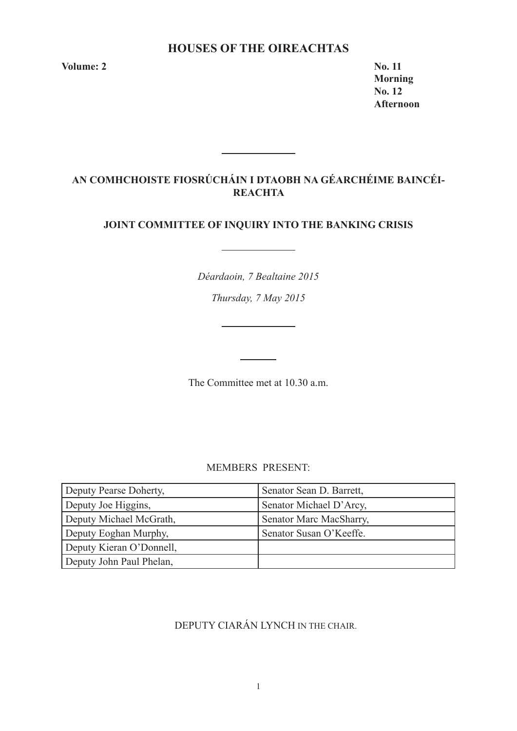# **HOUSES OF THE OIREACHTAS**

**Volume: 2 No. 11** 

**Morning No. 12 Afternoon** 

# **AN COMHCHOISTE FIOSRÚCHÁIN I DTAOBH NA GÉARCHÉIME BAINCÉI-REACHTA**

<u> 1990 - Jan Barnett, politik e</u>

# **JOINT COMMITTEE OF INQUIRY INTO THE BANKING CRISIS**

*Déardaoin, 7 Bealtaine 2015*

*Thursday, 7 May 2015*

<u> 1989 - Johann Barnett, f</u>

The Committee met at 10.30 a.m.

MEMBERS PRESENT:

| Deputy Pearse Doherty,   | Senator Sean D. Barrett, |
|--------------------------|--------------------------|
| Deputy Joe Higgins,      | Senator Michael D'Arcy,  |
| Deputy Michael McGrath,  | Senator Marc MacSharry,  |
| Deputy Eoghan Murphy,    | Senator Susan O'Keeffe.  |
| Deputy Kieran O'Donnell, |                          |
| Deputy John Paul Phelan, |                          |

# DEPUTY CIARÁN LYNCH IN THE CHAIR.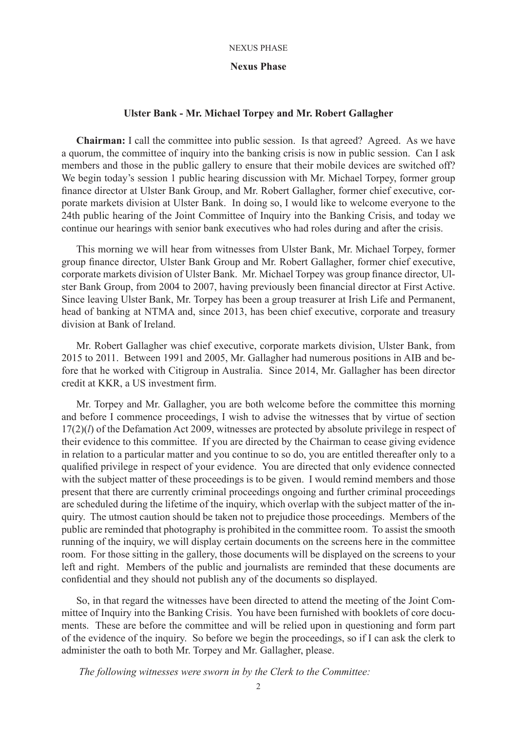### **Nexus Phase**

# **Ulster Bank - Mr. Michael Torpey and Mr. Robert Gallagher**

**Chairman:** I call the committee into public session. Is that agreed? Agreed. As we have a quorum, the committee of inquiry into the banking crisis is now in public session. Can I ask members and those in the public gallery to ensure that their mobile devices are switched off? We begin today's session 1 public hearing discussion with Mr. Michael Torpey, former group finance director at Ulster Bank Group, and Mr. Robert Gallagher, former chief executive, corporate markets division at Ulster Bank. In doing so, I would like to welcome everyone to the 24th public hearing of the Joint Committee of Inquiry into the Banking Crisis, and today we continue our hearings with senior bank executives who had roles during and after the crisis.

This morning we will hear from witnesses from Ulster Bank, Mr. Michael Torpey, former group finance director, Ulster Bank Group and Mr. Robert Gallagher, former chief executive, corporate markets division of Ulster Bank. Mr. Michael Torpey was group finance director, Ulster Bank Group, from 2004 to 2007, having previously been financial director at First Active. Since leaving Ulster Bank, Mr. Torpey has been a group treasurer at Irish Life and Permanent, head of banking at NTMA and, since 2013, has been chief executive, corporate and treasury division at Bank of Ireland.

Mr. Robert Gallagher was chief executive, corporate markets division, Ulster Bank, from 2015 to 2011. Between 1991 and 2005, Mr. Gallagher had numerous positions in AIB and before that he worked with Citigroup in Australia. Since 2014, Mr. Gallagher has been director credit at KKR, a US investment firm.

Mr. Torpey and Mr. Gallagher, you are both welcome before the committee this morning and before I commence proceedings, I wish to advise the witnesses that by virtue of section 17(2)(*l*) of the Defamation Act 2009, witnesses are protected by absolute privilege in respect of their evidence to this committee. If you are directed by the Chairman to cease giving evidence in relation to a particular matter and you continue to so do, you are entitled thereafter only to a qualified privilege in respect of your evidence. You are directed that only evidence connected with the subject matter of these proceedings is to be given. I would remind members and those present that there are currently criminal proceedings ongoing and further criminal proceedings are scheduled during the lifetime of the inquiry, which overlap with the subject matter of the inquiry. The utmost caution should be taken not to prejudice those proceedings. Members of the public are reminded that photography is prohibited in the committee room. To assist the smooth running of the inquiry, we will display certain documents on the screens here in the committee room. For those sitting in the gallery, those documents will be displayed on the screens to your left and right. Members of the public and journalists are reminded that these documents are confidential and they should not publish any of the documents so displayed.

So, in that regard the witnesses have been directed to attend the meeting of the Joint Committee of Inquiry into the Banking Crisis. You have been furnished with booklets of core documents. These are before the committee and will be relied upon in questioning and form part of the evidence of the inquiry. So before we begin the proceedings, so if I can ask the clerk to administer the oath to both Mr. Torpey and Mr. Gallagher, please.

 *The following witnesses were sworn in by the Clerk to the Committee:*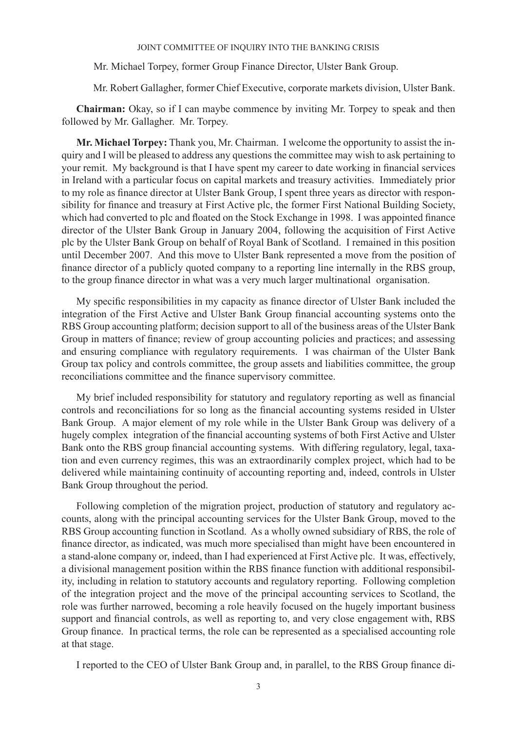Mr. Michael Torpey, former Group Finance Director, Ulster Bank Group.

Mr. Robert Gallagher, former Chief Executive, corporate markets division, Ulster Bank.

**Chairman:** Okay, so if I can maybe commence by inviting Mr. Torpey to speak and then followed by Mr. Gallagher. Mr. Torpey.

**Mr. Michael Torpey:** Thank you, Mr. Chairman. I welcome the opportunity to assist the inquiry and I will be pleased to address any questions the committee may wish to ask pertaining to your remit. My background is that I have spent my career to date working in financial services in Ireland with a particular focus on capital markets and treasury activities. Immediately prior to my role as finance director at Ulster Bank Group, I spent three years as director with responsibility for finance and treasury at First Active plc, the former First National Building Society, which had converted to plc and floated on the Stock Exchange in 1998. I was appointed finance director of the Ulster Bank Group in January 2004, following the acquisition of First Active plc by the Ulster Bank Group on behalf of Royal Bank of Scotland. I remained in this position until December 2007. And this move to Ulster Bank represented a move from the position of finance director of a publicly quoted company to a reporting line internally in the RBS group, to the group finance director in what was a very much larger multinational organisation.

My specific responsibilities in my capacity as finance director of Ulster Bank included the integration of the First Active and Ulster Bank Group financial accounting systems onto the RBS Group accounting platform; decision support to all of the business areas of the Ulster Bank Group in matters of finance; review of group accounting policies and practices; and assessing and ensuring compliance with regulatory requirements. I was chairman of the Ulster Bank Group tax policy and controls committee, the group assets and liabilities committee, the group reconciliations committee and the finance supervisory committee.

My brief included responsibility for statutory and regulatory reporting as well as financial controls and reconciliations for so long as the financial accounting systems resided in Ulster Bank Group. A major element of my role while in the Ulster Bank Group was delivery of a hugely complex integration of the financial accounting systems of both First Active and Ulster Bank onto the RBS group financial accounting systems. With differing regulatory, legal, taxation and even currency regimes, this was an extraordinarily complex project, which had to be delivered while maintaining continuity of accounting reporting and, indeed, controls in Ulster Bank Group throughout the period.

Following completion of the migration project, production of statutory and regulatory accounts, along with the principal accounting services for the Ulster Bank Group, moved to the RBS Group accounting function in Scotland. As a wholly owned subsidiary of RBS, the role of finance director, as indicated, was much more specialised than might have been encountered in a stand-alone company or, indeed, than I had experienced at First Active plc. It was, effectively, a divisional management position within the RBS finance function with additional responsibility, including in relation to statutory accounts and regulatory reporting. Following completion of the integration project and the move of the principal accounting services to Scotland, the role was further narrowed, becoming a role heavily focused on the hugely important business support and financial controls, as well as reporting to, and very close engagement with, RBS Group finance. In practical terms, the role can be represented as a specialised accounting role at that stage.

I reported to the CEO of Ulster Bank Group and, in parallel, to the RBS Group finance di-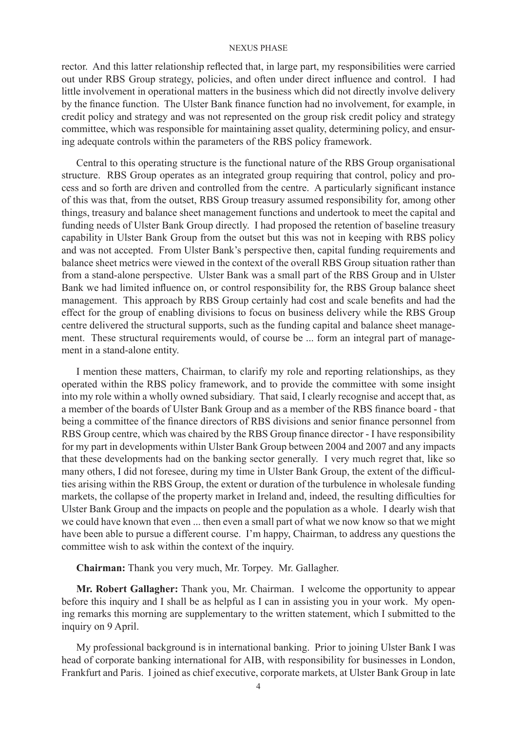rector. And this latter relationship reflected that, in large part, my responsibilities were carried out under RBS Group strategy, policies, and often under direct influence and control. I had little involvement in operational matters in the business which did not directly involve delivery by the finance function. The Ulster Bank finance function had no involvement, for example, in credit policy and strategy and was not represented on the group risk credit policy and strategy committee, which was responsible for maintaining asset quality, determining policy, and ensuring adequate controls within the parameters of the RBS policy framework.

Central to this operating structure is the functional nature of the RBS Group organisational structure. RBS Group operates as an integrated group requiring that control, policy and process and so forth are driven and controlled from the centre. A particularly significant instance of this was that, from the outset, RBS Group treasury assumed responsibility for, among other things, treasury and balance sheet management functions and undertook to meet the capital and funding needs of Ulster Bank Group directly. I had proposed the retention of baseline treasury capability in Ulster Bank Group from the outset but this was not in keeping with RBS policy and was not accepted. From Ulster Bank's perspective then, capital funding requirements and balance sheet metrics were viewed in the context of the overall RBS Group situation rather than from a stand-alone perspective. Ulster Bank was a small part of the RBS Group and in Ulster Bank we had limited influence on, or control responsibility for, the RBS Group balance sheet management. This approach by RBS Group certainly had cost and scale benefits and had the effect for the group of enabling divisions to focus on business delivery while the RBS Group centre delivered the structural supports, such as the funding capital and balance sheet management. These structural requirements would, of course be ... form an integral part of management in a stand-alone entity.

I mention these matters, Chairman, to clarify my role and reporting relationships, as they operated within the RBS policy framework, and to provide the committee with some insight into my role within a wholly owned subsidiary. That said, I clearly recognise and accept that, as a member of the boards of Ulster Bank Group and as a member of the RBS finance board - that being a committee of the finance directors of RBS divisions and senior finance personnel from RBS Group centre, which was chaired by the RBS Group finance director - I have responsibility for my part in developments within Ulster Bank Group between 2004 and 2007 and any impacts that these developments had on the banking sector generally. I very much regret that, like so many others, I did not foresee, during my time in Ulster Bank Group, the extent of the difficulties arising within the RBS Group, the extent or duration of the turbulence in wholesale funding markets, the collapse of the property market in Ireland and, indeed, the resulting difficulties for Ulster Bank Group and the impacts on people and the population as a whole. I dearly wish that we could have known that even ... then even a small part of what we now know so that we might have been able to pursue a different course. I'm happy, Chairman, to address any questions the committee wish to ask within the context of the inquiry.

**Chairman:** Thank you very much, Mr. Torpey. Mr. Gallagher.

**Mr. Robert Gallagher:** Thank you, Mr. Chairman. I welcome the opportunity to appear before this inquiry and I shall be as helpful as I can in assisting you in your work. My opening remarks this morning are supplementary to the written statement, which I submitted to the inquiry on 9 April.

My professional background is in international banking. Prior to joining Ulster Bank I was head of corporate banking international for AIB, with responsibility for businesses in London, Frankfurt and Paris. I joined as chief executive, corporate markets, at Ulster Bank Group in late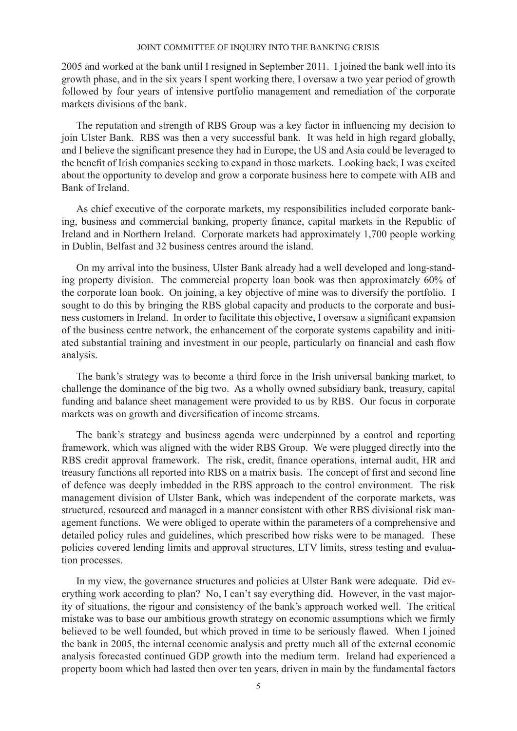2005 and worked at the bank until I resigned in September 2011. I joined the bank well into its growth phase, and in the six years I spent working there, I oversaw a two year period of growth followed by four years of intensive portfolio management and remediation of the corporate markets divisions of the bank.

The reputation and strength of RBS Group was a key factor in influencing my decision to join Ulster Bank. RBS was then a very successful bank. It was held in high regard globally, and I believe the significant presence they had in Europe, the US and Asia could be leveraged to the benefit of Irish companies seeking to expand in those markets. Looking back, I was excited about the opportunity to develop and grow a corporate business here to compete with AIB and Bank of Ireland.

As chief executive of the corporate markets, my responsibilities included corporate banking, business and commercial banking, property finance, capital markets in the Republic of Ireland and in Northern Ireland. Corporate markets had approximately 1,700 people working in Dublin, Belfast and 32 business centres around the island.

On my arrival into the business, Ulster Bank already had a well developed and long-standing property division. The commercial property loan book was then approximately 60% of the corporate loan book. On joining, a key objective of mine was to diversify the portfolio. I sought to do this by bringing the RBS global capacity and products to the corporate and business customers in Ireland. In order to facilitate this objective, I oversaw a significant expansion of the business centre network, the enhancement of the corporate systems capability and initiated substantial training and investment in our people, particularly on financial and cash flow analysis.

The bank's strategy was to become a third force in the Irish universal banking market, to challenge the dominance of the big two. As a wholly owned subsidiary bank, treasury, capital funding and balance sheet management were provided to us by RBS. Our focus in corporate markets was on growth and diversification of income streams.

The bank's strategy and business agenda were underpinned by a control and reporting framework, which was aligned with the wider RBS Group. We were plugged directly into the RBS credit approval framework. The risk, credit, finance operations, internal audit, HR and treasury functions all reported into RBS on a matrix basis. The concept of first and second line of defence was deeply imbedded in the RBS approach to the control environment. The risk management division of Ulster Bank, which was independent of the corporate markets, was structured, resourced and managed in a manner consistent with other RBS divisional risk management functions. We were obliged to operate within the parameters of a comprehensive and detailed policy rules and guidelines, which prescribed how risks were to be managed. These policies covered lending limits and approval structures, LTV limits, stress testing and evaluation processes.

In my view, the governance structures and policies at Ulster Bank were adequate. Did everything work according to plan? No, I can't say everything did. However, in the vast majority of situations, the rigour and consistency of the bank's approach worked well. The critical mistake was to base our ambitious growth strategy on economic assumptions which we firmly believed to be well founded, but which proved in time to be seriously flawed. When I joined the bank in 2005, the internal economic analysis and pretty much all of the external economic analysis forecasted continued GDP growth into the medium term. Ireland had experienced a property boom which had lasted then over ten years, driven in main by the fundamental factors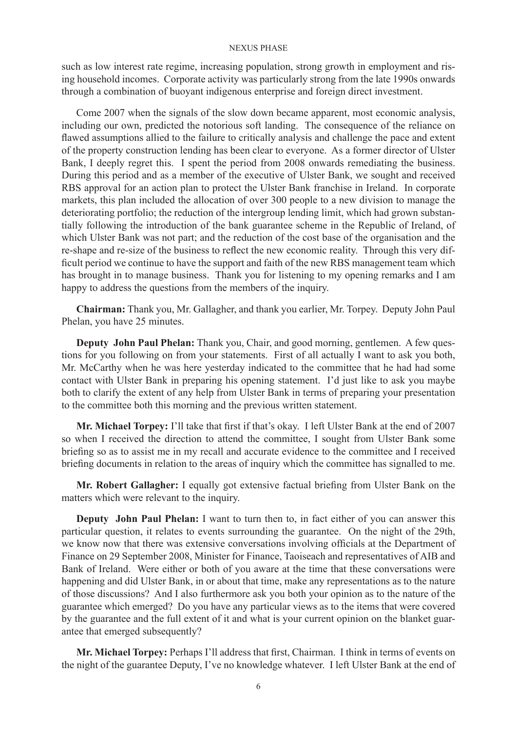such as low interest rate regime, increasing population, strong growth in employment and rising household incomes. Corporate activity was particularly strong from the late 1990s onwards through a combination of buoyant indigenous enterprise and foreign direct investment.

Come 2007 when the signals of the slow down became apparent, most economic analysis, including our own, predicted the notorious soft landing. The consequence of the reliance on flawed assumptions allied to the failure to critically analysis and challenge the pace and extent of the property construction lending has been clear to everyone. As a former director of Ulster Bank, I deeply regret this. I spent the period from 2008 onwards remediating the business. During this period and as a member of the executive of Ulster Bank, we sought and received RBS approval for an action plan to protect the Ulster Bank franchise in Ireland. In corporate markets, this plan included the allocation of over 300 people to a new division to manage the deteriorating portfolio; the reduction of the intergroup lending limit, which had grown substantially following the introduction of the bank guarantee scheme in the Republic of Ireland, of which Ulster Bank was not part; and the reduction of the cost base of the organisation and the re-shape and re-size of the business to reflect the new economic reality. Through this very difficult period we continue to have the support and faith of the new RBS management team which has brought in to manage business. Thank you for listening to my opening remarks and I am happy to address the questions from the members of the inquiry.

**Chairman:** Thank you, Mr. Gallagher, and thank you earlier, Mr. Torpey. Deputy John Paul Phelan, you have 25 minutes.

**Deputy John Paul Phelan:** Thank you, Chair, and good morning, gentlemen. A few questions for you following on from your statements. First of all actually I want to ask you both, Mr. McCarthy when he was here yesterday indicated to the committee that he had had some contact with Ulster Bank in preparing his opening statement. I'd just like to ask you maybe both to clarify the extent of any help from Ulster Bank in terms of preparing your presentation to the committee both this morning and the previous written statement.

**Mr. Michael Torpey:** I'll take that first if that's okay. I left Ulster Bank at the end of 2007 so when I received the direction to attend the committee, I sought from Ulster Bank some briefing so as to assist me in my recall and accurate evidence to the committee and I received briefing documents in relation to the areas of inquiry which the committee has signalled to me.

**Mr. Robert Gallagher:** I equally got extensive factual briefing from Ulster Bank on the matters which were relevant to the inquiry.

**Deputy John Paul Phelan:** I want to turn then to, in fact either of you can answer this particular question, it relates to events surrounding the guarantee. On the night of the 29th, we know now that there was extensive conversations involving officials at the Department of Finance on 29 September 2008, Minister for Finance, Taoiseach and representatives of AIB and Bank of Ireland. Were either or both of you aware at the time that these conversations were happening and did Ulster Bank, in or about that time, make any representations as to the nature of those discussions? And I also furthermore ask you both your opinion as to the nature of the guarantee which emerged? Do you have any particular views as to the items that were covered by the guarantee and the full extent of it and what is your current opinion on the blanket guarantee that emerged subsequently?

**Mr. Michael Torpey:** Perhaps I'll address that first, Chairman. I think in terms of events on the night of the guarantee Deputy, I've no knowledge whatever. I left Ulster Bank at the end of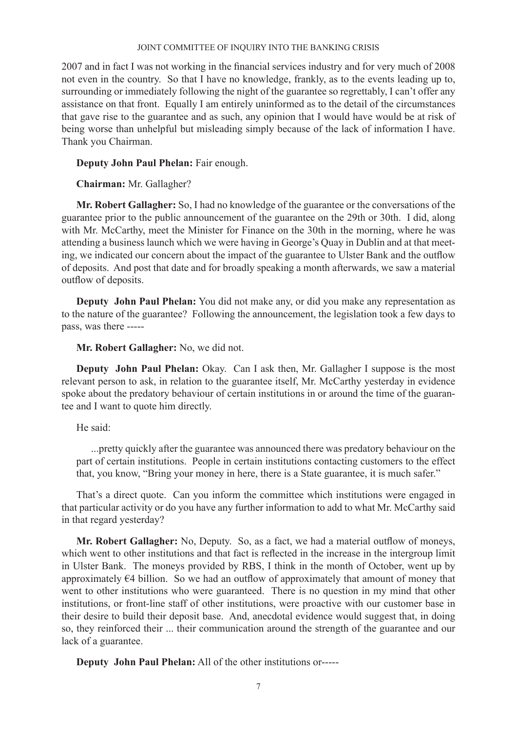2007 and in fact I was not working in the financial services industry and for very much of 2008 not even in the country. So that I have no knowledge, frankly, as to the events leading up to, surrounding or immediately following the night of the guarantee so regrettably, I can't offer any assistance on that front. Equally I am entirely uninformed as to the detail of the circumstances that gave rise to the guarantee and as such, any opinion that I would have would be at risk of being worse than unhelpful but misleading simply because of the lack of information I have. Thank you Chairman.

**Deputy John Paul Phelan:** Fair enough.

**Chairman:** Mr. Gallagher?

**Mr. Robert Gallagher:** So, I had no knowledge of the guarantee or the conversations of the guarantee prior to the public announcement of the guarantee on the 29th or 30th. I did, along with Mr. McCarthy, meet the Minister for Finance on the 30th in the morning, where he was attending a business launch which we were having in George's Quay in Dublin and at that meeting, we indicated our concern about the impact of the guarantee to Ulster Bank and the outflow of deposits. And post that date and for broadly speaking a month afterwards, we saw a material outflow of deposits.

**Deputy John Paul Phelan:** You did not make any, or did you make any representation as to the nature of the guarantee? Following the announcement, the legislation took a few days to pass, was there -----

**Mr. Robert Gallagher:** No, we did not.

**Deputy John Paul Phelan:** Okay. Can I ask then, Mr. Gallagher I suppose is the most relevant person to ask, in relation to the guarantee itself, Mr. McCarthy yesterday in evidence spoke about the predatory behaviour of certain institutions in or around the time of the guarantee and I want to quote him directly.

He said:

...pretty quickly after the guarantee was announced there was predatory behaviour on the part of certain institutions. People in certain institutions contacting customers to the effect that, you know, "Bring your money in here, there is a State guarantee, it is much safer."

That's a direct quote. Can you inform the committee which institutions were engaged in that particular activity or do you have any further information to add to what Mr. McCarthy said in that regard yesterday?

**Mr. Robert Gallagher:** No, Deputy. So, as a fact, we had a material outflow of moneys, which went to other institutions and that fact is reflected in the increase in the intergroup limit in Ulster Bank. The moneys provided by RBS, I think in the month of October, went up by approximately  $\varepsilon$ 4 billion. So we had an outflow of approximately that amount of money that went to other institutions who were guaranteed. There is no question in my mind that other institutions, or front-line staff of other institutions, were proactive with our customer base in their desire to build their deposit base. And, anecdotal evidence would suggest that, in doing so, they reinforced their ... their communication around the strength of the guarantee and our lack of a guarantee.

**Deputy John Paul Phelan:** All of the other institutions or-----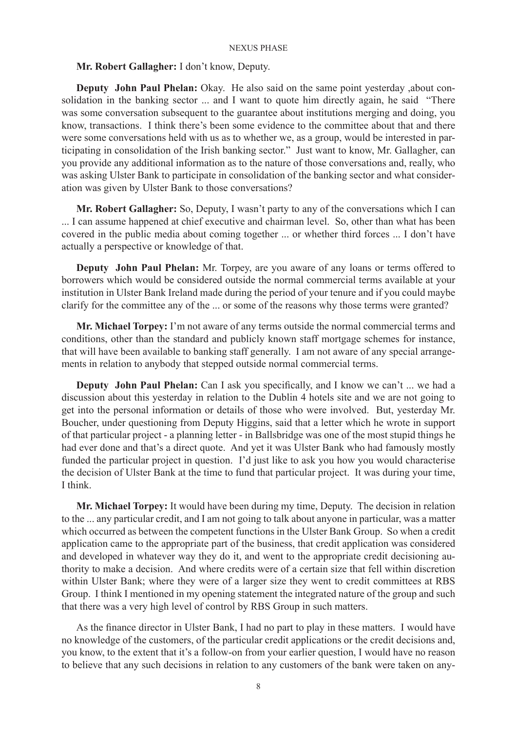# **Mr. Robert Gallagher:** I don't know, Deputy.

**Deputy John Paul Phelan:** Okay. He also said on the same point yesterday ,about consolidation in the banking sector ... and I want to quote him directly again, he said "There was some conversation subsequent to the guarantee about institutions merging and doing, you know, transactions. I think there's been some evidence to the committee about that and there were some conversations held with us as to whether we, as a group, would be interested in participating in consolidation of the Irish banking sector." Just want to know, Mr. Gallagher, can you provide any additional information as to the nature of those conversations and, really, who was asking Ulster Bank to participate in consolidation of the banking sector and what consideration was given by Ulster Bank to those conversations?

**Mr. Robert Gallagher:** So, Deputy, I wasn't party to any of the conversations which I can ... I can assume happened at chief executive and chairman level. So, other than what has been covered in the public media about coming together ... or whether third forces ... I don't have actually a perspective or knowledge of that.

**Deputy John Paul Phelan:** Mr. Torpey, are you aware of any loans or terms offered to borrowers which would be considered outside the normal commercial terms available at your institution in Ulster Bank Ireland made during the period of your tenure and if you could maybe clarify for the committee any of the ... or some of the reasons why those terms were granted?

**Mr. Michael Torpey:** I'm not aware of any terms outside the normal commercial terms and conditions, other than the standard and publicly known staff mortgage schemes for instance, that will have been available to banking staff generally. I am not aware of any special arrangements in relation to anybody that stepped outside normal commercial terms.

**Deputy John Paul Phelan:** Can I ask you specifically, and I know we can't ... we had a discussion about this yesterday in relation to the Dublin 4 hotels site and we are not going to get into the personal information or details of those who were involved. But, yesterday Mr. Boucher, under questioning from Deputy Higgins, said that a letter which he wrote in support of that particular project - a planning letter - in Ballsbridge was one of the most stupid things he had ever done and that's a direct quote. And yet it was Ulster Bank who had famously mostly funded the particular project in question. I'd just like to ask you how you would characterise the decision of Ulster Bank at the time to fund that particular project. It was during your time, I think.

**Mr. Michael Torpey:** It would have been during my time, Deputy. The decision in relation to the ... any particular credit, and I am not going to talk about anyone in particular, was a matter which occurred as between the competent functions in the Ulster Bank Group. So when a credit application came to the appropriate part of the business, that credit application was considered and developed in whatever way they do it, and went to the appropriate credit decisioning authority to make a decision. And where credits were of a certain size that fell within discretion within Ulster Bank; where they were of a larger size they went to credit committees at RBS Group. I think I mentioned in my opening statement the integrated nature of the group and such that there was a very high level of control by RBS Group in such matters.

As the finance director in Ulster Bank, I had no part to play in these matters. I would have no knowledge of the customers, of the particular credit applications or the credit decisions and, you know, to the extent that it's a follow-on from your earlier question, I would have no reason to believe that any such decisions in relation to any customers of the bank were taken on any-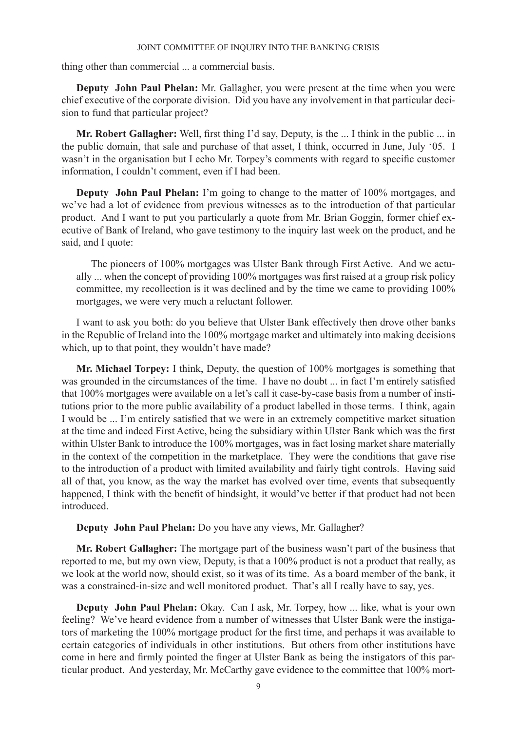thing other than commercial ... a commercial basis.

**Deputy John Paul Phelan:** Mr. Gallagher, you were present at the time when you were chief executive of the corporate division. Did you have any involvement in that particular decision to fund that particular project?

**Mr. Robert Gallagher:** Well, first thing I'd say, Deputy, is the ... I think in the public ... in the public domain, that sale and purchase of that asset, I think, occurred in June, July '05. I wasn't in the organisation but I echo Mr. Torpey's comments with regard to specific customer information, I couldn't comment, even if I had been.

**Deputy John Paul Phelan:** I'm going to change to the matter of 100% mortgages, and we've had a lot of evidence from previous witnesses as to the introduction of that particular product. And I want to put you particularly a quote from Mr. Brian Goggin, former chief executive of Bank of Ireland, who gave testimony to the inquiry last week on the product, and he said, and I quote:

The pioneers of 100% mortgages was Ulster Bank through First Active. And we actually ... when the concept of providing 100% mortgages was first raised at a group risk policy committee, my recollection is it was declined and by the time we came to providing 100% mortgages, we were very much a reluctant follower.

I want to ask you both: do you believe that Ulster Bank effectively then drove other banks in the Republic of Ireland into the 100% mortgage market and ultimately into making decisions which, up to that point, they wouldn't have made?

**Mr. Michael Torpey:** I think, Deputy, the question of 100% mortgages is something that was grounded in the circumstances of the time. I have no doubt ... in fact I'm entirely satisfied that 100% mortgages were available on a let's call it case-by-case basis from a number of institutions prior to the more public availability of a product labelled in those terms. I think, again I would be ... I'm entirely satisfied that we were in an extremely competitive market situation at the time and indeed First Active, being the subsidiary within Ulster Bank which was the first within Ulster Bank to introduce the 100% mortgages, was in fact losing market share materially in the context of the competition in the marketplace. They were the conditions that gave rise to the introduction of a product with limited availability and fairly tight controls. Having said all of that, you know, as the way the market has evolved over time, events that subsequently happened, I think with the benefit of hindsight, it would've better if that product had not been introduced.

**Deputy John Paul Phelan:** Do you have any views, Mr. Gallagher?

**Mr. Robert Gallagher:** The mortgage part of the business wasn't part of the business that reported to me, but my own view, Deputy, is that a 100% product is not a product that really, as we look at the world now, should exist, so it was of its time. As a board member of the bank, it was a constrained-in-size and well monitored product. That's all I really have to say, yes.

**Deputy John Paul Phelan:** Okay. Can I ask, Mr. Torpey, how ... like, what is your own feeling? We've heard evidence from a number of witnesses that Ulster Bank were the instigators of marketing the 100% mortgage product for the first time, and perhaps it was available to certain categories of individuals in other institutions. But others from other institutions have come in here and firmly pointed the finger at Ulster Bank as being the instigators of this particular product. And yesterday, Mr. McCarthy gave evidence to the committee that 100% mort-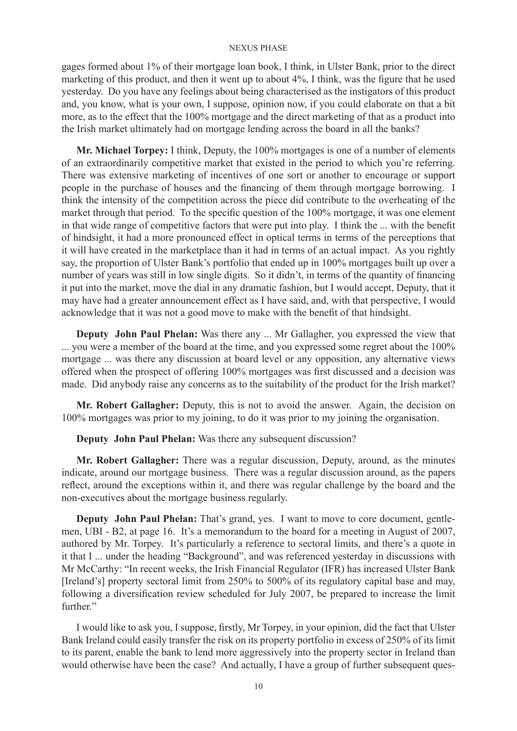gages formed about 1% of their mortgage loan book, I think, in Ulster Bank, prior to the direct marketing of this product, and then it went up to about 4%, I think, was the figure that he used yesterday. Do you have any feelings about being characterised as the instigators of this product and, you know, what is your own, I suppose, opinion now, if you could elaborate on that a bit more, as to the effect that the 100% mortgage and the direct marketing of that as a product into the Irish market ultimately had on mortgage lending across the board in all the banks?

**Mr. Michael Torpey:** I think, Deputy, the 100% mortgages is one of a number of elements of an extraordinarily competitive market that existed in the period to which you're referring. There was extensive marketing of incentives of one sort or another to encourage or support people in the purchase of houses and the financing of them through mortgage borrowing. I think the intensity of the competition across the piece did contribute to the overheating of the market through that period. To the specific question of the 100% mortgage, it was one element in that wide range of competitive factors that were put into play. I think the ... with the benefit of hindsight, it had a more pronounced effect in optical terms in terms of the perceptions that it will have created in the marketplace than it had in terms of an actual impact. As you rightly say, the proportion of Ulster Bank's portfolio that ended up in 100% mortgages built up over a number of years was still in low single digits. So it didn't, in terms of the quantity of financing it put into the market, move the dial in any dramatic fashion, but I would accept, Deputy, that it may have had a greater announcement effect as I have said, and, with that perspective, I would acknowledge that it was not a good move to make with the benefit of that hindsight.

**Deputy John Paul Phelan:** Was there any ... Mr Gallagher, you expressed the view that ... you were a member of the board at the time, and you expressed some regret about the 100% mortgage ... was there any discussion at board level or any opposition, any alternative views offered when the prospect of offering 100% mortgages was first discussed and a decision was made. Did anybody raise any concerns as to the suitability of the product for the Irish market?

**Mr. Robert Gallagher:** Deputy, this is not to avoid the answer. Again, the decision on 100% mortgages was prior to my joining, to do it was prior to my joining the organisation.

**Deputy John Paul Phelan:** Was there any subsequent discussion?

**Mr. Robert Gallagher:** There was a regular discussion, Deputy, around, as the minutes indicate, around our mortgage business. There was a regular discussion around, as the papers reflect, around the exceptions within it, and there was regular challenge by the board and the non-executives about the mortgage business regularly.

**Deputy John Paul Phelan:** That's grand, yes. I want to move to core document, gentlemen, UBI - B2, at page 16. It's a memorandum to the board for a meeting in August of 2007, authored by Mr. Torpey. It's particularly a reference to sectoral limits, and there's a quote in it that I ... under the heading "Background", and was referenced yesterday in discussions with Mr McCarthy: "In recent weeks, the Irish Financial Regulator (IFR) has increased Ulster Bank [Ireland's] property sectoral limit from 250% to 500% of its regulatory capital base and may, following a diversification review scheduled for July 2007, be prepared to increase the limit further."

I would like to ask you, I suppose, firstly, Mr Torpey, in your opinion, did the fact that Ulster Bank Ireland could easily transfer the risk on its property portfolio in excess of 250% of its limit to its parent, enable the bank to lend more aggressively into the property sector in Ireland than would otherwise have been the case? And actually, I have a group of further subsequent ques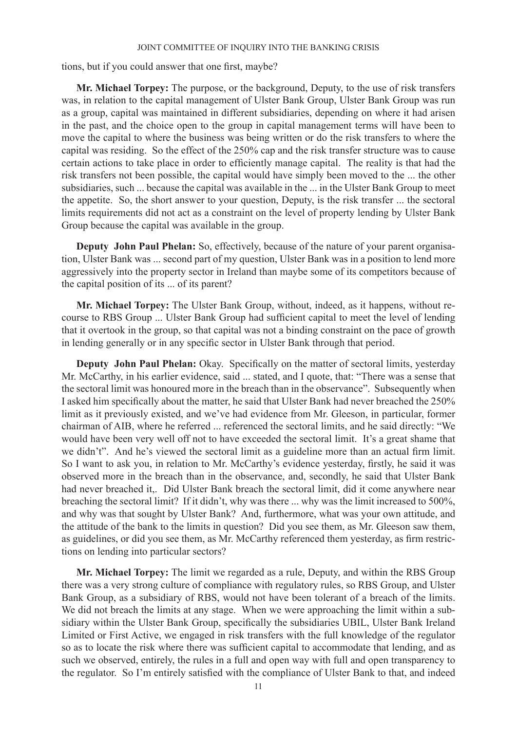tions, but if you could answer that one first, maybe?

**Mr. Michael Torpey:** The purpose, or the background, Deputy, to the use of risk transfers was, in relation to the capital management of Ulster Bank Group, Ulster Bank Group was run as a group, capital was maintained in different subsidiaries, depending on where it had arisen in the past, and the choice open to the group in capital management terms will have been to move the capital to where the business was being written or do the risk transfers to where the capital was residing. So the effect of the 250% cap and the risk transfer structure was to cause certain actions to take place in order to efficiently manage capital. The reality is that had the risk transfers not been possible, the capital would have simply been moved to the ... the other subsidiaries, such ... because the capital was available in the ... in the Ulster Bank Group to meet the appetite. So, the short answer to your question, Deputy, is the risk transfer ... the sectoral limits requirements did not act as a constraint on the level of property lending by Ulster Bank Group because the capital was available in the group.

**Deputy John Paul Phelan:** So, effectively, because of the nature of your parent organisation, Ulster Bank was ... second part of my question, Ulster Bank was in a position to lend more aggressively into the property sector in Ireland than maybe some of its competitors because of the capital position of its ... of its parent?

**Mr. Michael Torpey:** The Ulster Bank Group, without, indeed, as it happens, without recourse to RBS Group ... Ulster Bank Group had sufficient capital to meet the level of lending that it overtook in the group, so that capital was not a binding constraint on the pace of growth in lending generally or in any specific sector in Ulster Bank through that period.

**Deputy John Paul Phelan:** Okay. Specifically on the matter of sectoral limits, yesterday Mr. McCarthy, in his earlier evidence, said ... stated, and I quote, that: "There was a sense that the sectoral limit was honoured more in the breach than in the observance". Subsequently when I asked him specifically about the matter, he said that Ulster Bank had never breached the 250% limit as it previously existed, and we've had evidence from Mr. Gleeson, in particular, former chairman of AIB, where he referred ... referenced the sectoral limits, and he said directly: "We would have been very well off not to have exceeded the sectoral limit. It's a great shame that we didn't". And he's viewed the sectoral limit as a guideline more than an actual firm limit. So I want to ask you, in relation to Mr. McCarthy's evidence yesterday, firstly, he said it was observed more in the breach than in the observance, and, secondly, he said that Ulster Bank had never breached it,. Did Ulster Bank breach the sectoral limit, did it come anywhere near breaching the sectoral limit? If it didn't, why was there ... why was the limit increased to 500%, and why was that sought by Ulster Bank? And, furthermore, what was your own attitude, and the attitude of the bank to the limits in question? Did you see them, as Mr. Gleeson saw them, as guidelines, or did you see them, as Mr. McCarthy referenced them yesterday, as firm restrictions on lending into particular sectors?

**Mr. Michael Torpey:** The limit we regarded as a rule, Deputy, and within the RBS Group there was a very strong culture of compliance with regulatory rules, so RBS Group, and Ulster Bank Group, as a subsidiary of RBS, would not have been tolerant of a breach of the limits. We did not breach the limits at any stage. When we were approaching the limit within a subsidiary within the Ulster Bank Group, specifically the subsidiaries UBIL, Ulster Bank Ireland Limited or First Active, we engaged in risk transfers with the full knowledge of the regulator so as to locate the risk where there was sufficient capital to accommodate that lending, and as such we observed, entirely, the rules in a full and open way with full and open transparency to the regulator. So I'm entirely satisfied with the compliance of Ulster Bank to that, and indeed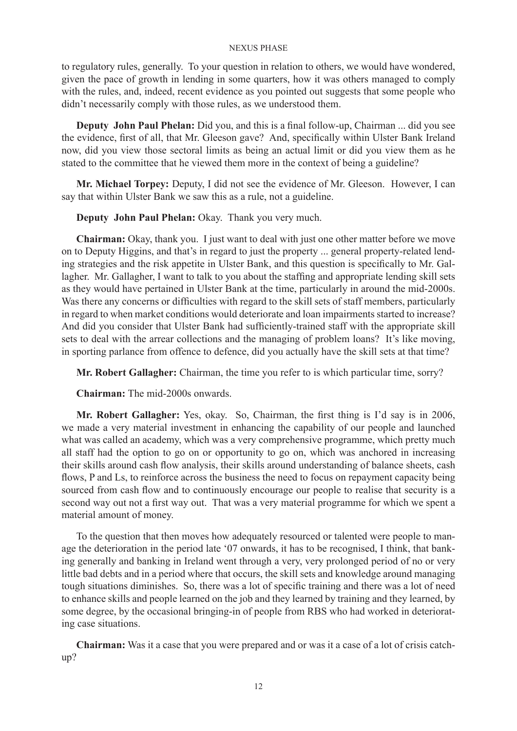to regulatory rules, generally. To your question in relation to others, we would have wondered, given the pace of growth in lending in some quarters, how it was others managed to comply with the rules, and, indeed, recent evidence as you pointed out suggests that some people who didn't necessarily comply with those rules, as we understood them.

**Deputy John Paul Phelan:** Did you, and this is a final follow-up, Chairman ... did you see the evidence, first of all, that Mr. Gleeson gave? And, specifically within Ulster Bank Ireland now, did you view those sectoral limits as being an actual limit or did you view them as he stated to the committee that he viewed them more in the context of being a guideline?

**Mr. Michael Torpey:** Deputy, I did not see the evidence of Mr. Gleeson. However, I can say that within Ulster Bank we saw this as a rule, not a guideline.

**Deputy John Paul Phelan:** Okay. Thank you very much.

**Chairman:** Okay, thank you. I just want to deal with just one other matter before we move on to Deputy Higgins, and that's in regard to just the property ... general property-related lending strategies and the risk appetite in Ulster Bank, and this question is specifically to Mr. Gallagher. Mr. Gallagher, I want to talk to you about the staffing and appropriate lending skill sets as they would have pertained in Ulster Bank at the time, particularly in around the mid-2000s. Was there any concerns or difficulties with regard to the skill sets of staff members, particularly in regard to when market conditions would deteriorate and loan impairments started to increase? And did you consider that Ulster Bank had sufficiently-trained staff with the appropriate skill sets to deal with the arrear collections and the managing of problem loans? It's like moving, in sporting parlance from offence to defence, did you actually have the skill sets at that time?

**Mr. Robert Gallagher:** Chairman, the time you refer to is which particular time, sorry?

**Chairman:** The mid-2000s onwards.

**Mr. Robert Gallagher:** Yes, okay. So, Chairman, the first thing is I'd say is in 2006, we made a very material investment in enhancing the capability of our people and launched what was called an academy, which was a very comprehensive programme, which pretty much all staff had the option to go on or opportunity to go on, which was anchored in increasing their skills around cash flow analysis, their skills around understanding of balance sheets, cash flows, P and Ls, to reinforce across the business the need to focus on repayment capacity being sourced from cash flow and to continuously encourage our people to realise that security is a second way out not a first way out. That was a very material programme for which we spent a material amount of money.

To the question that then moves how adequately resourced or talented were people to manage the deterioration in the period late '07 onwards, it has to be recognised, I think, that banking generally and banking in Ireland went through a very, very prolonged period of no or very little bad debts and in a period where that occurs, the skill sets and knowledge around managing tough situations diminishes. So, there was a lot of specific training and there was a lot of need to enhance skills and people learned on the job and they learned by training and they learned, by some degree, by the occasional bringing-in of people from RBS who had worked in deteriorating case situations.

**Chairman:** Was it a case that you were prepared and or was it a case of a lot of crisis catchup?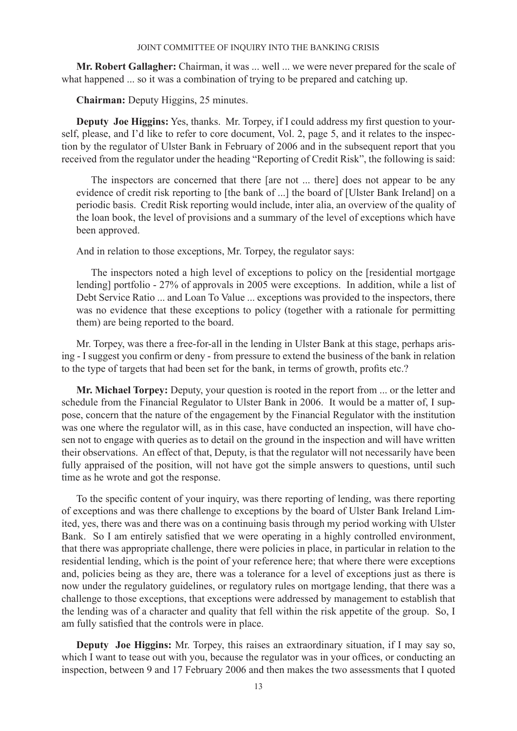**Mr. Robert Gallagher:** Chairman, it was ... well ... we were never prepared for the scale of what happened ... so it was a combination of trying to be prepared and catching up.

**Chairman:** Deputy Higgins, 25 minutes.

**Deputy Joe Higgins:** Yes, thanks. Mr. Torpey, if I could address my first question to yourself, please, and I'd like to refer to core document, Vol. 2, page 5, and it relates to the inspection by the regulator of Ulster Bank in February of 2006 and in the subsequent report that you received from the regulator under the heading "Reporting of Credit Risk", the following is said:

The inspectors are concerned that there [are not ... there] does not appear to be any evidence of credit risk reporting to [the bank of ...] the board of [Ulster Bank Ireland] on a periodic basis. Credit Risk reporting would include, inter alia, an overview of the quality of the loan book, the level of provisions and a summary of the level of exceptions which have been approved.

And in relation to those exceptions, Mr. Torpey, the regulator says:

The inspectors noted a high level of exceptions to policy on the [residential mortgage lending] portfolio - 27% of approvals in 2005 were exceptions. In addition, while a list of Debt Service Ratio ... and Loan To Value ... exceptions was provided to the inspectors, there was no evidence that these exceptions to policy (together with a rationale for permitting them) are being reported to the board.

Mr. Torpey, was there a free-for-all in the lending in Ulster Bank at this stage, perhaps arising - I suggest you confirm or deny - from pressure to extend the business of the bank in relation to the type of targets that had been set for the bank, in terms of growth, profits etc.?

**Mr. Michael Torpey:** Deputy, your question is rooted in the report from ... or the letter and schedule from the Financial Regulator to Ulster Bank in 2006. It would be a matter of, I suppose, concern that the nature of the engagement by the Financial Regulator with the institution was one where the regulator will, as in this case, have conducted an inspection, will have chosen not to engage with queries as to detail on the ground in the inspection and will have written their observations. An effect of that, Deputy, is that the regulator will not necessarily have been fully appraised of the position, will not have got the simple answers to questions, until such time as he wrote and got the response.

To the specific content of your inquiry, was there reporting of lending, was there reporting of exceptions and was there challenge to exceptions by the board of Ulster Bank Ireland Limited, yes, there was and there was on a continuing basis through my period working with Ulster Bank. So I am entirely satisfied that we were operating in a highly controlled environment, that there was appropriate challenge, there were policies in place, in particular in relation to the residential lending, which is the point of your reference here; that where there were exceptions and, policies being as they are, there was a tolerance for a level of exceptions just as there is now under the regulatory guidelines, or regulatory rules on mortgage lending, that there was a challenge to those exceptions, that exceptions were addressed by management to establish that the lending was of a character and quality that fell within the risk appetite of the group. So, I am fully satisfied that the controls were in place.

**Deputy Joe Higgins:** Mr. Torpey, this raises an extraordinary situation, if I may say so, which I want to tease out with you, because the regulator was in your offices, or conducting an inspection, between 9 and 17 February 2006 and then makes the two assessments that I quoted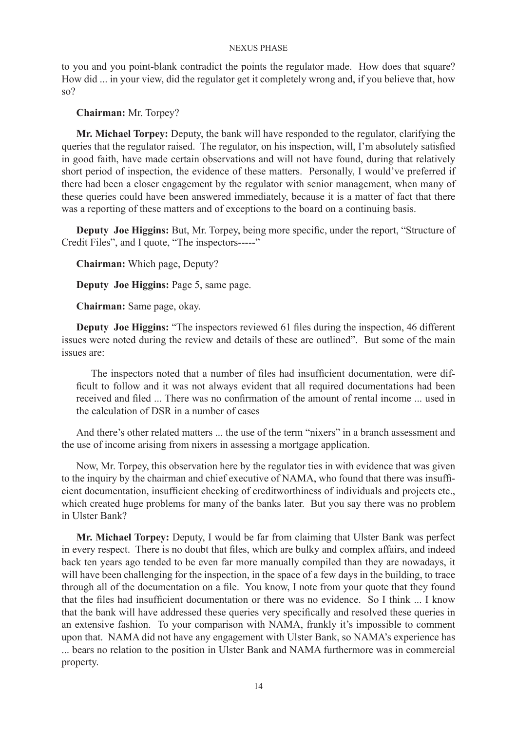to you and you point-blank contradict the points the regulator made. How does that square? How did ... in your view, did the regulator get it completely wrong and, if you believe that, how so?

# **Chairman:** Mr. Torpey?

**Mr. Michael Torpey:** Deputy, the bank will have responded to the regulator, clarifying the queries that the regulator raised. The regulator, on his inspection, will, I'm absolutely satisfied in good faith, have made certain observations and will not have found, during that relatively short period of inspection, the evidence of these matters. Personally, I would've preferred if there had been a closer engagement by the regulator with senior management, when many of these queries could have been answered immediately, because it is a matter of fact that there was a reporting of these matters and of exceptions to the board on a continuing basis.

**Deputy Joe Higgins:** But, Mr. Torpey, being more specific, under the report, "Structure of Credit Files", and I quote, "The inspectors-----"

**Chairman:** Which page, Deputy?

**Deputy Joe Higgins:** Page 5, same page.

**Chairman:** Same page, okay.

**Deputy Joe Higgins:** "The inspectors reviewed 61 files during the inspection, 46 different issues were noted during the review and details of these are outlined". But some of the main issues are:

The inspectors noted that a number of files had insufficient documentation, were difficult to follow and it was not always evident that all required documentations had been received and filed ... There was no confirmation of the amount of rental income ... used in the calculation of DSR in a number of cases

And there's other related matters ... the use of the term "nixers" in a branch assessment and the use of income arising from nixers in assessing a mortgage application.

Now, Mr. Torpey, this observation here by the regulator ties in with evidence that was given to the inquiry by the chairman and chief executive of NAMA, who found that there was insufficient documentation, insufficient checking of creditworthiness of individuals and projects etc., which created huge problems for many of the banks later. But you say there was no problem in Ulster Bank?

**Mr. Michael Torpey:** Deputy, I would be far from claiming that Ulster Bank was perfect in every respect. There is no doubt that files, which are bulky and complex affairs, and indeed back ten years ago tended to be even far more manually compiled than they are nowadays, it will have been challenging for the inspection, in the space of a few days in the building, to trace through all of the documentation on a file. You know, I note from your quote that they found that the files had insufficient documentation or there was no evidence. So I think ... I know that the bank will have addressed these queries very specifically and resolved these queries in an extensive fashion. To your comparison with NAMA, frankly it's impossible to comment upon that. NAMA did not have any engagement with Ulster Bank, so NAMA's experience has ... bears no relation to the position in Ulster Bank and NAMA furthermore was in commercial property.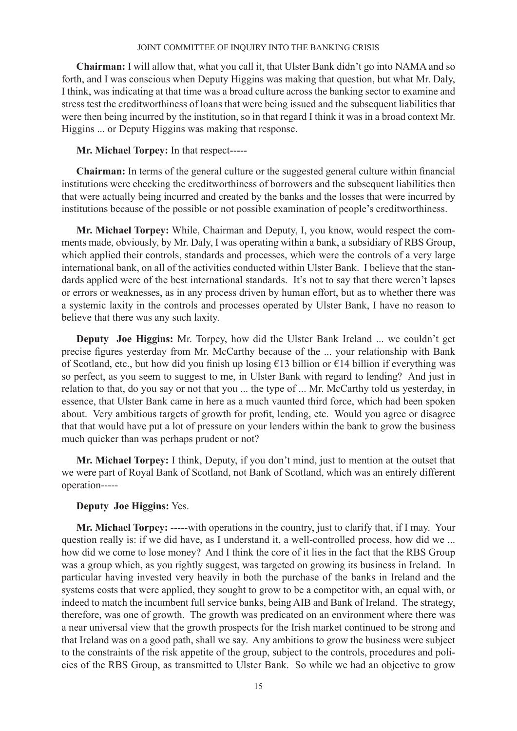**Chairman:** I will allow that, what you call it, that Ulster Bank didn't go into NAMA and so forth, and I was conscious when Deputy Higgins was making that question, but what Mr. Daly, I think, was indicating at that time was a broad culture across the banking sector to examine and stress test the creditworthiness of loans that were being issued and the subsequent liabilities that were then being incurred by the institution, so in that regard I think it was in a broad context Mr. Higgins ... or Deputy Higgins was making that response.

# **Mr. Michael Torpey:** In that respect-----

**Chairman:** In terms of the general culture or the suggested general culture within financial institutions were checking the creditworthiness of borrowers and the subsequent liabilities then that were actually being incurred and created by the banks and the losses that were incurred by institutions because of the possible or not possible examination of people's creditworthiness.

**Mr. Michael Torpey:** While, Chairman and Deputy, I, you know, would respect the comments made, obviously, by Mr. Daly, I was operating within a bank, a subsidiary of RBS Group, which applied their controls, standards and processes, which were the controls of a very large international bank, on all of the activities conducted within Ulster Bank. I believe that the standards applied were of the best international standards. It's not to say that there weren't lapses or errors or weaknesses, as in any process driven by human effort, but as to whether there was a systemic laxity in the controls and processes operated by Ulster Bank, I have no reason to believe that there was any such laxity.

**Deputy Joe Higgins:** Mr. Torpey, how did the Ulster Bank Ireland ... we couldn't get precise figures yesterday from Mr. McCarthy because of the ... your relationship with Bank of Scotland, etc., but how did you finish up losing €13 billion or €14 billion if everything was so perfect, as you seem to suggest to me, in Ulster Bank with regard to lending? And just in relation to that, do you say or not that you ... the type of ... Mr. McCarthy told us yesterday, in essence, that Ulster Bank came in here as a much vaunted third force, which had been spoken about. Very ambitious targets of growth for profit, lending, etc. Would you agree or disagree that that would have put a lot of pressure on your lenders within the bank to grow the business much quicker than was perhaps prudent or not?

**Mr. Michael Torpey:** I think, Deputy, if you don't mind, just to mention at the outset that we were part of Royal Bank of Scotland, not Bank of Scotland, which was an entirely different operation-----

# **Deputy Joe Higgins:** Yes.

**Mr. Michael Torpey:** -----with operations in the country, just to clarify that, if I may. Your question really is: if we did have, as I understand it, a well-controlled process, how did we ... how did we come to lose money? And I think the core of it lies in the fact that the RBS Group was a group which, as you rightly suggest, was targeted on growing its business in Ireland. In particular having invested very heavily in both the purchase of the banks in Ireland and the systems costs that were applied, they sought to grow to be a competitor with, an equal with, or indeed to match the incumbent full service banks, being AIB and Bank of Ireland. The strategy, therefore, was one of growth. The growth was predicated on an environment where there was a near universal view that the growth prospects for the Irish market continued to be strong and that Ireland was on a good path, shall we say. Any ambitions to grow the business were subject to the constraints of the risk appetite of the group, subject to the controls, procedures and policies of the RBS Group, as transmitted to Ulster Bank. So while we had an objective to grow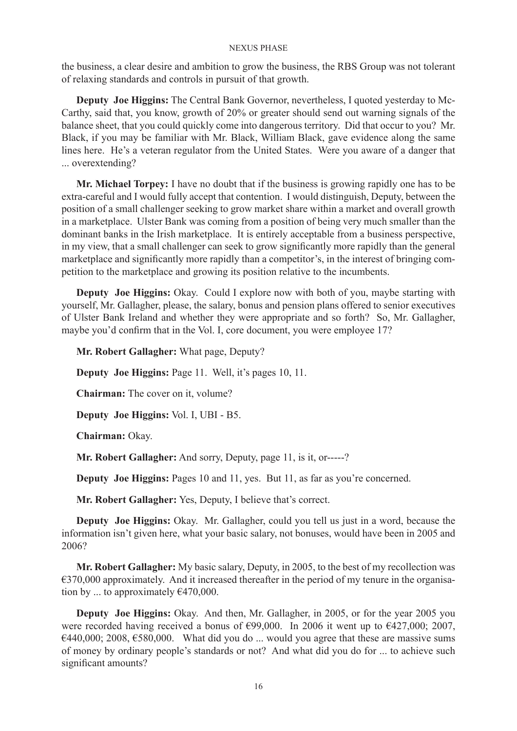the business, a clear desire and ambition to grow the business, the RBS Group was not tolerant of relaxing standards and controls in pursuit of that growth.

**Deputy Joe Higgins:** The Central Bank Governor, nevertheless, I quoted yesterday to Mc-Carthy, said that, you know, growth of 20% or greater should send out warning signals of the balance sheet, that you could quickly come into dangerous territory. Did that occur to you? Mr. Black, if you may be familiar with Mr. Black, William Black, gave evidence along the same lines here. He's a veteran regulator from the United States. Were you aware of a danger that ... overextending?

**Mr. Michael Torpey:** I have no doubt that if the business is growing rapidly one has to be extra-careful and I would fully accept that contention. I would distinguish, Deputy, between the position of a small challenger seeking to grow market share within a market and overall growth in a marketplace. Ulster Bank was coming from a position of being very much smaller than the dominant banks in the Irish marketplace. It is entirely acceptable from a business perspective, in my view, that a small challenger can seek to grow significantly more rapidly than the general marketplace and significantly more rapidly than a competitor's, in the interest of bringing competition to the marketplace and growing its position relative to the incumbents.

**Deputy Joe Higgins:** Okay. Could I explore now with both of you, maybe starting with yourself, Mr. Gallagher, please, the salary, bonus and pension plans offered to senior executives of Ulster Bank Ireland and whether they were appropriate and so forth? So, Mr. Gallagher, maybe you'd confirm that in the Vol. I, core document, you were employee 17?

**Mr. Robert Gallagher:** What page, Deputy?

**Deputy Joe Higgins:** Page 11. Well, it's pages 10, 11.

**Chairman:** The cover on it, volume?

**Deputy Joe Higgins:** Vol. I, UBI - B5.

**Chairman:** Okay.

**Mr. Robert Gallagher:** And sorry, Deputy, page 11, is it, or-----?

**Deputy Joe Higgins:** Pages 10 and 11, yes. But 11, as far as you're concerned.

**Mr. Robert Gallagher:** Yes, Deputy, I believe that's correct.

**Deputy Joe Higgins:** Okay. Mr. Gallagher, could you tell us just in a word, because the information isn't given here, what your basic salary, not bonuses, would have been in 2005 and 2006?

**Mr. Robert Gallagher:** My basic salary, Deputy, in 2005, to the best of my recollection was  $€370,000$  approximately. And it increased thereafter in the period of my tenure in the organisation by ... to approximately  $\epsilon$ 470,000.

**Deputy Joe Higgins:** Okay. And then, Mr. Gallagher, in 2005, or for the year 2005 you were recorded having received a bonus of  $\epsilon$ 99,000. In 2006 it went up to  $\epsilon$ 427,000; 2007,  $\epsilon$ 440,000; 2008,  $\epsilon$ 580,000. What did you do ... would you agree that these are massive sums of money by ordinary people's standards or not? And what did you do for ... to achieve such significant amounts?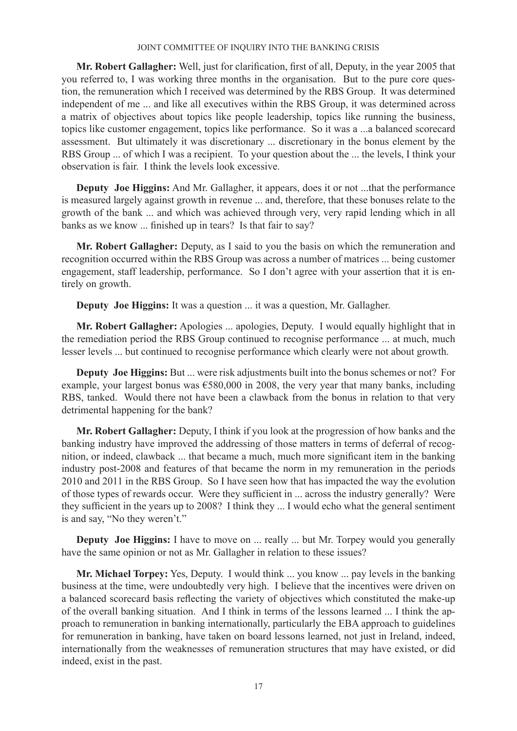**Mr. Robert Gallagher:** Well, just for clarification, first of all, Deputy, in the year 2005 that you referred to, I was working three months in the organisation. But to the pure core question, the remuneration which I received was determined by the RBS Group. It was determined independent of me ... and like all executives within the RBS Group, it was determined across a matrix of objectives about topics like people leadership, topics like running the business, topics like customer engagement, topics like performance. So it was a ...a balanced scorecard assessment. But ultimately it was discretionary ... discretionary in the bonus element by the RBS Group ... of which I was a recipient. To your question about the ... the levels, I think your observation is fair. I think the levels look excessive.

**Deputy Joe Higgins:** And Mr. Gallagher, it appears, does it or not ...that the performance is measured largely against growth in revenue ... and, therefore, that these bonuses relate to the growth of the bank ... and which was achieved through very, very rapid lending which in all banks as we know ... finished up in tears? Is that fair to say?

**Mr. Robert Gallagher:** Deputy, as I said to you the basis on which the remuneration and recognition occurred within the RBS Group was across a number of matrices ... being customer engagement, staff leadership, performance. So I don't agree with your assertion that it is entirely on growth.

**Deputy Joe Higgins:** It was a question ... it was a question, Mr. Gallagher.

**Mr. Robert Gallagher:** Apologies ... apologies, Deputy. I would equally highlight that in the remediation period the RBS Group continued to recognise performance ... at much, much lesser levels ... but continued to recognise performance which clearly were not about growth.

**Deputy Joe Higgins:** But ... were risk adjustments built into the bonus schemes or not? For example, your largest bonus was €580,000 in 2008, the very year that many banks, including RBS, tanked. Would there not have been a clawback from the bonus in relation to that very detrimental happening for the bank?

**Mr. Robert Gallagher:** Deputy, I think if you look at the progression of how banks and the banking industry have improved the addressing of those matters in terms of deferral of recognition, or indeed, clawback ... that became a much, much more significant item in the banking industry post-2008 and features of that became the norm in my remuneration in the periods 2010 and 2011 in the RBS Group. So I have seen how that has impacted the way the evolution of those types of rewards occur. Were they sufficient in ... across the industry generally? Were they sufficient in the years up to 2008? I think they ... I would echo what the general sentiment is and say, "No they weren't."

**Deputy Joe Higgins:** I have to move on ... really ... but Mr. Torpey would you generally have the same opinion or not as Mr. Gallagher in relation to these issues?

**Mr. Michael Torpey:** Yes, Deputy. I would think ... you know ... pay levels in the banking business at the time, were undoubtedly very high. I believe that the incentives were driven on a balanced scorecard basis reflecting the variety of objectives which constituted the make-up of the overall banking situation. And I think in terms of the lessons learned ... I think the approach to remuneration in banking internationally, particularly the EBA approach to guidelines for remuneration in banking, have taken on board lessons learned, not just in Ireland, indeed, internationally from the weaknesses of remuneration structures that may have existed, or did indeed, exist in the past.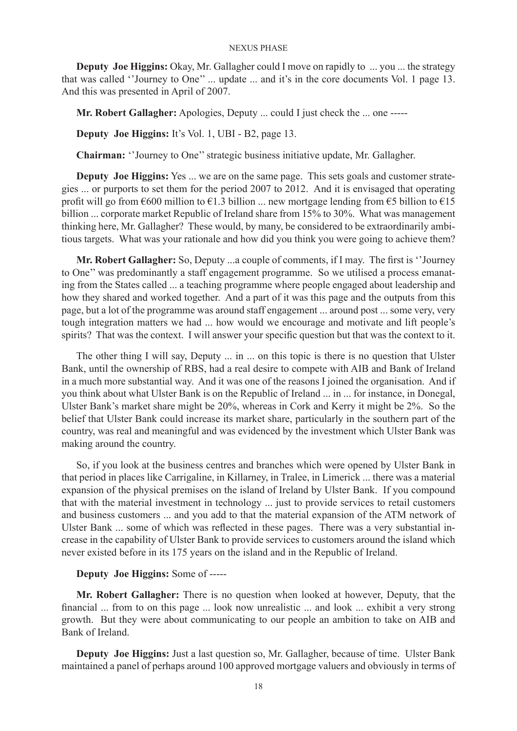**Deputy Joe Higgins:** Okay, Mr. Gallagher could I move on rapidly to ... you ... the strategy that was called ''Journey to One'' ... update ... and it's in the core documents Vol. 1 page 13. And this was presented in April of 2007.

**Mr. Robert Gallagher:** Apologies, Deputy ... could I just check the ... one -----

**Deputy Joe Higgins:** It's Vol. 1, UBI - B2, page 13.

**Chairman:** ''Journey to One'' strategic business initiative update, Mr. Gallagher.

**Deputy Joe Higgins:** Yes ... we are on the same page. This sets goals and customer strategies ... or purports to set them for the period 2007 to 2012. And it is envisaged that operating profit will go from  $\epsilon$ 600 million to  $\epsilon$ 1.3 billion ... new mortgage lending from  $\epsilon$ 5 billion to  $\epsilon$ 15 billion ... corporate market Republic of Ireland share from 15% to 30%. What was management thinking here, Mr. Gallagher? These would, by many, be considered to be extraordinarily ambitious targets. What was your rationale and how did you think you were going to achieve them?

**Mr. Robert Gallagher:** So, Deputy ...a couple of comments, if I may. The first is ''Journey to One'' was predominantly a staff engagement programme. So we utilised a process emanating from the States called ... a teaching programme where people engaged about leadership and how they shared and worked together. And a part of it was this page and the outputs from this page, but a lot of the programme was around staff engagement ... around post ... some very, very tough integration matters we had ... how would we encourage and motivate and lift people's spirits? That was the context. I will answer your specific question but that was the context to it.

The other thing I will say, Deputy ... in ... on this topic is there is no question that Ulster Bank, until the ownership of RBS, had a real desire to compete with AIB and Bank of Ireland in a much more substantial way. And it was one of the reasons I joined the organisation. And if you think about what Ulster Bank is on the Republic of Ireland ... in ... for instance, in Donegal, Ulster Bank's market share might be 20%, whereas in Cork and Kerry it might be 2%. So the belief that Ulster Bank could increase its market share, particularly in the southern part of the country, was real and meaningful and was evidenced by the investment which Ulster Bank was making around the country.

So, if you look at the business centres and branches which were opened by Ulster Bank in that period in places like Carrigaline, in Killarney, in Tralee, in Limerick ... there was a material expansion of the physical premises on the island of Ireland by Ulster Bank. If you compound that with the material investment in technology ... just to provide services to retail customers and business customers ... and you add to that the material expansion of the ATM network of Ulster Bank ... some of which was reflected in these pages. There was a very substantial increase in the capability of Ulster Bank to provide services to customers around the island which never existed before in its 175 years on the island and in the Republic of Ireland.

# **Deputy Joe Higgins:** Some of -----

**Mr. Robert Gallagher:** There is no question when looked at however, Deputy, that the financial ... from to on this page ... look now unrealistic ... and look ... exhibit a very strong growth. But they were about communicating to our people an ambition to take on AIB and Bank of Ireland.

**Deputy Joe Higgins:** Just a last question so, Mr. Gallagher, because of time. Ulster Bank maintained a panel of perhaps around 100 approved mortgage valuers and obviously in terms of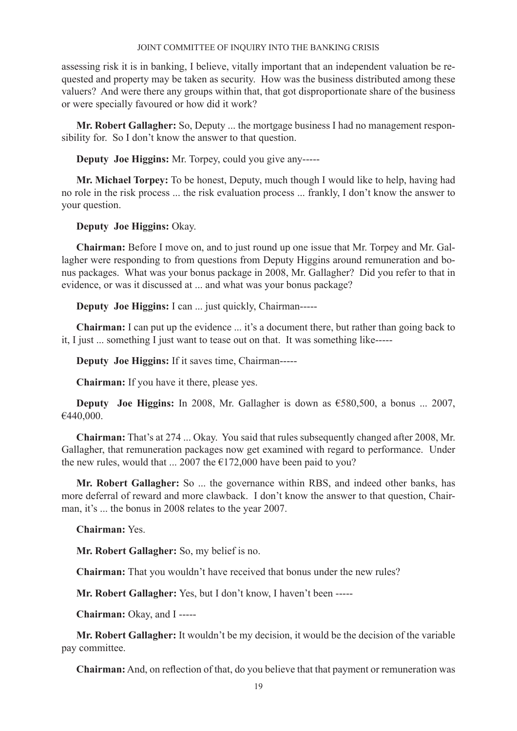assessing risk it is in banking, I believe, vitally important that an independent valuation be requested and property may be taken as security. How was the business distributed among these valuers? And were there any groups within that, that got disproportionate share of the business or were specially favoured or how did it work?

**Mr. Robert Gallagher:** So, Deputy ... the mortgage business I had no management responsibility for. So I don't know the answer to that question.

**Deputy Joe Higgins:** Mr. Torpey, could you give any-----

**Mr. Michael Torpey:** To be honest, Deputy, much though I would like to help, having had no role in the risk process ... the risk evaluation process ... frankly, I don't know the answer to your question.

**Deputy Joe Higgins:** Okay.

**Chairman:** Before I move on, and to just round up one issue that Mr. Torpey and Mr. Gallagher were responding to from questions from Deputy Higgins around remuneration and bonus packages. What was your bonus package in 2008, Mr. Gallagher? Did you refer to that in evidence, or was it discussed at ... and what was your bonus package?

**Deputy Joe Higgins:** I can ... just quickly, Chairman-----

**Chairman:** I can put up the evidence ... it's a document there, but rather than going back to it, I just ... something I just want to tease out on that. It was something like-----

**Deputy Joe Higgins:** If it saves time, Chairman-----

**Chairman:** If you have it there, please yes.

**Deputy Joe Higgins:** In 2008, Mr. Gallagher is down as €580,500, a bonus ... 2007, €440,000.

**Chairman:** That's at 274 ... Okay. You said that rules subsequently changed after 2008, Mr. Gallagher, that remuneration packages now get examined with regard to performance. Under the new rules, would that ... 2007 the  $E172,000$  have been paid to you?

**Mr. Robert Gallagher:** So ... the governance within RBS, and indeed other banks, has more deferral of reward and more clawback. I don't know the answer to that question, Chairman, it's ... the bonus in 2008 relates to the year 2007.

**Chairman:** Yes.

**Mr. Robert Gallagher:** So, my belief is no.

**Chairman:** That you wouldn't have received that bonus under the new rules?

**Mr. Robert Gallagher:** Yes, but I don't know, I haven't been -----

**Chairman:** Okay, and I -----

**Mr. Robert Gallagher:** It wouldn't be my decision, it would be the decision of the variable pay committee.

**Chairman:** And, on reflection of that, do you believe that that payment or remuneration was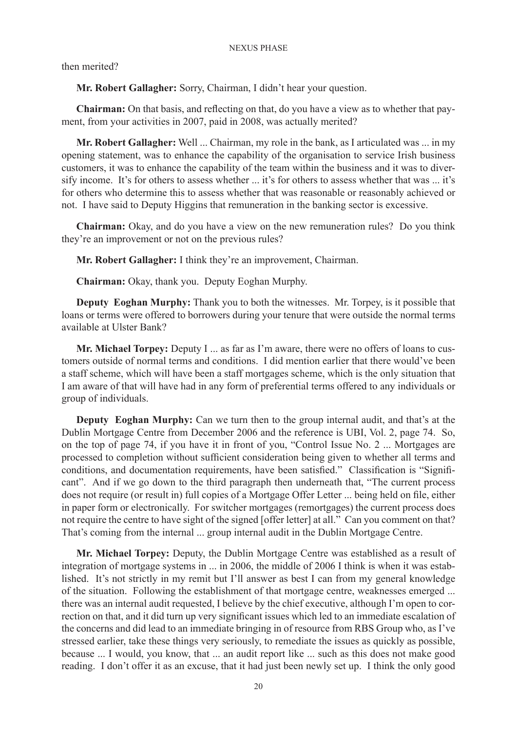then merited?

**Mr. Robert Gallagher:** Sorry, Chairman, I didn't hear your question.

**Chairman:** On that basis, and reflecting on that, do you have a view as to whether that payment, from your activities in 2007, paid in 2008, was actually merited?

**Mr. Robert Gallagher:** Well ... Chairman, my role in the bank, as I articulated was ... in my opening statement, was to enhance the capability of the organisation to service Irish business customers, it was to enhance the capability of the team within the business and it was to diversify income. It's for others to assess whether ... it's for others to assess whether that was ... it's for others who determine this to assess whether that was reasonable or reasonably achieved or not. I have said to Deputy Higgins that remuneration in the banking sector is excessive.

**Chairman:** Okay, and do you have a view on the new remuneration rules? Do you think they're an improvement or not on the previous rules?

**Mr. Robert Gallagher:** I think they're an improvement, Chairman.

**Chairman:** Okay, thank you. Deputy Eoghan Murphy.

**Deputy Eoghan Murphy:** Thank you to both the witnesses. Mr. Torpey, is it possible that loans or terms were offered to borrowers during your tenure that were outside the normal terms available at Ulster Bank?

**Mr. Michael Torpey:** Deputy I ... as far as I'm aware, there were no offers of loans to customers outside of normal terms and conditions. I did mention earlier that there would've been a staff scheme, which will have been a staff mortgages scheme, which is the only situation that I am aware of that will have had in any form of preferential terms offered to any individuals or group of individuals.

**Deputy Eoghan Murphy:** Can we turn then to the group internal audit, and that's at the Dublin Mortgage Centre from December 2006 and the reference is UBI, Vol. 2, page 74. So, on the top of page 74, if you have it in front of you, "Control Issue No. 2 ... Mortgages are processed to completion without sufficient consideration being given to whether all terms and conditions, and documentation requirements, have been satisfied." Classification is "Significant". And if we go down to the third paragraph then underneath that, "The current process does not require (or result in) full copies of a Mortgage Offer Letter ... being held on file, either in paper form or electronically. For switcher mortgages (remortgages) the current process does not require the centre to have sight of the signed [offer letter] at all." Can you comment on that? That's coming from the internal ... group internal audit in the Dublin Mortgage Centre.

**Mr. Michael Torpey:** Deputy, the Dublin Mortgage Centre was established as a result of integration of mortgage systems in ... in 2006, the middle of 2006 I think is when it was established. It's not strictly in my remit but I'll answer as best I can from my general knowledge of the situation. Following the establishment of that mortgage centre, weaknesses emerged ... there was an internal audit requested, I believe by the chief executive, although I'm open to correction on that, and it did turn up very significant issues which led to an immediate escalation of the concerns and did lead to an immediate bringing in of resource from RBS Group who, as I've stressed earlier, take these things very seriously, to remediate the issues as quickly as possible, because ... I would, you know, that ... an audit report like ... such as this does not make good reading. I don't offer it as an excuse, that it had just been newly set up. I think the only good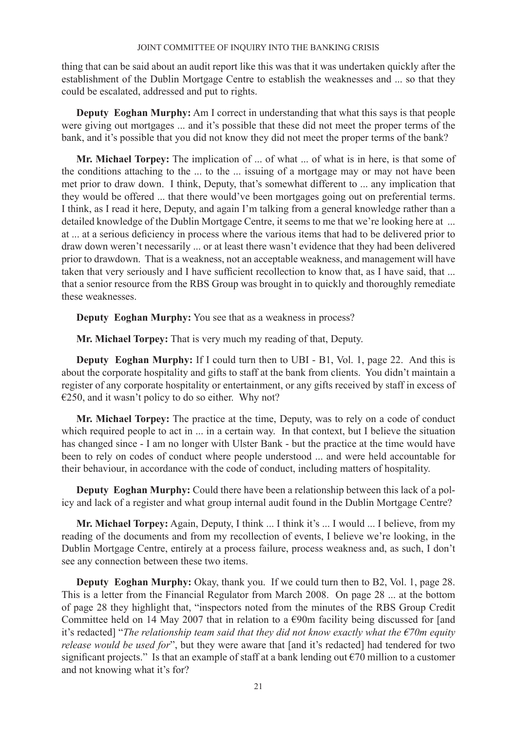thing that can be said about an audit report like this was that it was undertaken quickly after the establishment of the Dublin Mortgage Centre to establish the weaknesses and ... so that they could be escalated, addressed and put to rights.

**Deputy Eoghan Murphy:** Am I correct in understanding that what this says is that people were giving out mortgages ... and it's possible that these did not meet the proper terms of the bank, and it's possible that you did not know they did not meet the proper terms of the bank?

**Mr. Michael Torpey:** The implication of ... of what ... of what is in here, is that some of the conditions attaching to the ... to the ... issuing of a mortgage may or may not have been met prior to draw down. I think, Deputy, that's somewhat different to ... any implication that they would be offered ... that there would've been mortgages going out on preferential terms. I think, as I read it here, Deputy, and again I'm talking from a general knowledge rather than a detailed knowledge of the Dublin Mortgage Centre, it seems to me that we're looking here at ... at ... at a serious deficiency in process where the various items that had to be delivered prior to draw down weren't necessarily ... or at least there wasn't evidence that they had been delivered prior to drawdown. That is a weakness, not an acceptable weakness, and management will have taken that very seriously and I have sufficient recollection to know that, as I have said, that ... that a senior resource from the RBS Group was brought in to quickly and thoroughly remediate these weaknesses.

**Deputy Eoghan Murphy:** You see that as a weakness in process?

**Mr. Michael Torpey:** That is very much my reading of that, Deputy.

**Deputy Eoghan Murphy:** If I could turn then to UBI - B1, Vol. 1, page 22. And this is about the corporate hospitality and gifts to staff at the bank from clients. You didn't maintain a register of any corporate hospitality or entertainment, or any gifts received by staff in excess of  $\epsilon$ 250, and it wasn't policy to do so either. Why not?

**Mr. Michael Torpey:** The practice at the time, Deputy, was to rely on a code of conduct which required people to act in ... in a certain way. In that context, but I believe the situation has changed since - I am no longer with Ulster Bank - but the practice at the time would have been to rely on codes of conduct where people understood ... and were held accountable for their behaviour, in accordance with the code of conduct, including matters of hospitality.

**Deputy Eoghan Murphy:** Could there have been a relationship between this lack of a policy and lack of a register and what group internal audit found in the Dublin Mortgage Centre?

**Mr. Michael Torpey:** Again, Deputy, I think ... I think it's ... I would ... I believe, from my reading of the documents and from my recollection of events, I believe we're looking, in the Dublin Mortgage Centre, entirely at a process failure, process weakness and, as such, I don't see any connection between these two items.

**Deputy Eoghan Murphy:** Okay, thank you. If we could turn then to B2, Vol. 1, page 28. This is a letter from the Financial Regulator from March 2008. On page 28 ... at the bottom of page 28 they highlight that, "inspectors noted from the minutes of the RBS Group Credit Committee held on 14 May 2007 that in relation to a  $\epsilon$ 90m facility being discussed for [and it's redacted] "*The relationship team said that they did not know exactly what the €70m equity release would be used for*", but they were aware that [and it's redacted] had tendered for two significant projects." Is that an example of staff at a bank lending out  $\epsilon$ 70 million to a customer and not knowing what it's for?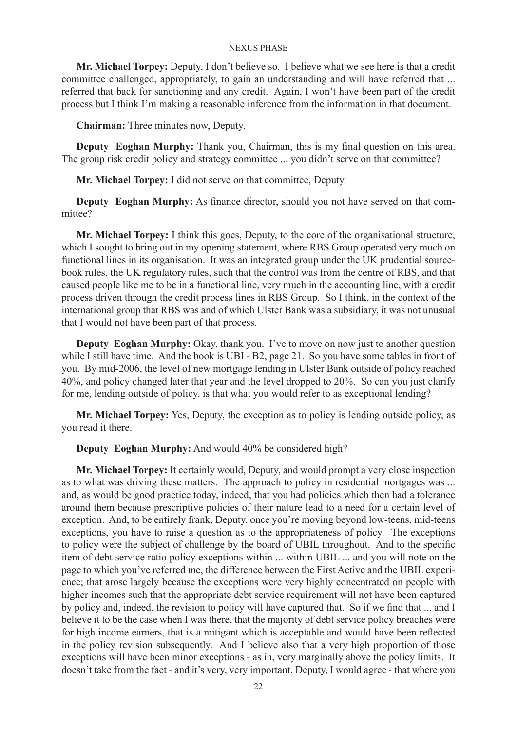**Mr. Michael Torpey:** Deputy, I don't believe so. I believe what we see here is that a credit committee challenged, appropriately, to gain an understanding and will have referred that ... referred that back for sanctioning and any credit. Again, I won't have been part of the credit process but I think I'm making a reasonable inference from the information in that document.

**Chairman:** Three minutes now, Deputy.

**Deputy Eoghan Murphy:** Thank you, Chairman, this is my final question on this area. The group risk credit policy and strategy committee ... you didn't serve on that committee?

**Mr. Michael Torpey:** I did not serve on that committee, Deputy.

**Deputy Eoghan Murphy:** As finance director, should you not have served on that committee?

**Mr. Michael Torpey:** I think this goes, Deputy, to the core of the organisational structure, which I sought to bring out in my opening statement, where RBS Group operated very much on functional lines in its organisation. It was an integrated group under the UK prudential sourcebook rules, the UK regulatory rules, such that the control was from the centre of RBS, and that caused people like me to be in a functional line, very much in the accounting line, with a credit process driven through the credit process lines in RBS Group. So I think, in the context of the international group that RBS was and of which Ulster Bank was a subsidiary, it was not unusual that I would not have been part of that process.

**Deputy Eoghan Murphy:** Okay, thank you. I've to move on now just to another question while I still have time. And the book is UBI - B2, page 21. So you have some tables in front of you. By mid-2006, the level of new mortgage lending in Ulster Bank outside of policy reached 40%, and policy changed later that year and the level dropped to 20%. So can you just clarify for me, lending outside of policy, is that what you would refer to as exceptional lending?

**Mr. Michael Torpey:** Yes, Deputy, the exception as to policy is lending outside policy, as you read it there.

**Deputy Eoghan Murphy:** And would 40% be considered high?

**Mr. Michael Torpey:** It certainly would, Deputy, and would prompt a very close inspection as to what was driving these matters. The approach to policy in residential mortgages was ... and, as would be good practice today, indeed, that you had policies which then had a tolerance around them because prescriptive policies of their nature lead to a need for a certain level of exception. And, to be entirely frank, Deputy, once you're moving beyond low-teens, mid-teens exceptions, you have to raise a question as to the appropriateness of policy. The exceptions to policy were the subject of challenge by the board of UBIL throughout. And to the specific item of debt service ratio policy exceptions within ... within UBIL ... and you will note on the page to which you've referred me, the difference between the First Active and the UBIL experience; that arose largely because the exceptions were very highly concentrated on people with higher incomes such that the appropriate debt service requirement will not have been captured by policy and, indeed, the revision to policy will have captured that. So if we find that ... and I believe it to be the case when I was there, that the majority of debt service policy breaches were for high income earners, that is a mitigant which is acceptable and would have been reflected in the policy revision subsequently. And I believe also that a very high proportion of those exceptions will have been minor exceptions - as in, very marginally above the policy limits. It doesn't take from the fact - and it's very, very important, Deputy, I would agree - that where you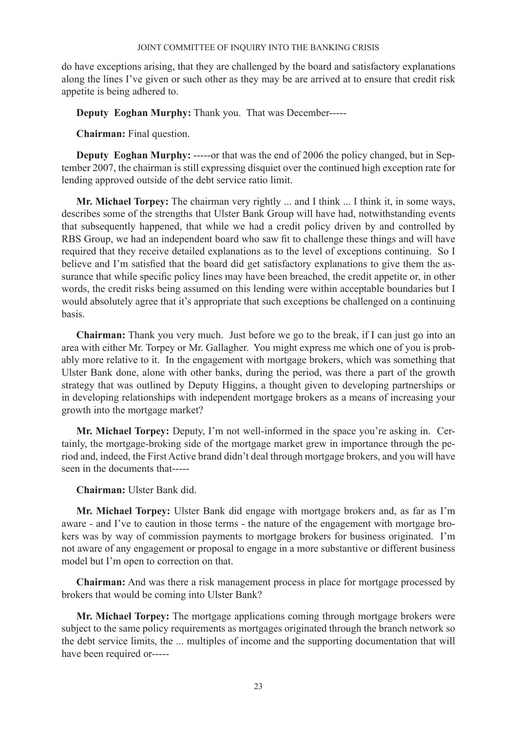do have exceptions arising, that they are challenged by the board and satisfactory explanations along the lines I've given or such other as they may be are arrived at to ensure that credit risk appetite is being adhered to.

**Deputy Eoghan Murphy:** Thank you. That was December-----

**Chairman:** Final question.

**Deputy Eoghan Murphy:** -----or that was the end of 2006 the policy changed, but in September 2007, the chairman is still expressing disquiet over the continued high exception rate for lending approved outside of the debt service ratio limit.

**Mr. Michael Torpey:** The chairman very rightly ... and I think ... I think it, in some ways, describes some of the strengths that Ulster Bank Group will have had, notwithstanding events that subsequently happened, that while we had a credit policy driven by and controlled by RBS Group, we had an independent board who saw fit to challenge these things and will have required that they receive detailed explanations as to the level of exceptions continuing. So I believe and I'm satisfied that the board did get satisfactory explanations to give them the assurance that while specific policy lines may have been breached, the credit appetite or, in other words, the credit risks being assumed on this lending were within acceptable boundaries but I would absolutely agree that it's appropriate that such exceptions be challenged on a continuing basis.

**Chairman:** Thank you very much. Just before we go to the break, if I can just go into an area with either Mr. Torpey or Mr. Gallagher. You might express me which one of you is probably more relative to it. In the engagement with mortgage brokers, which was something that Ulster Bank done, alone with other banks, during the period, was there a part of the growth strategy that was outlined by Deputy Higgins, a thought given to developing partnerships or in developing relationships with independent mortgage brokers as a means of increasing your growth into the mortgage market?

**Mr. Michael Torpey:** Deputy, I'm not well-informed in the space you're asking in. Certainly, the mortgage-broking side of the mortgage market grew in importance through the period and, indeed, the First Active brand didn't deal through mortgage brokers, and you will have seen in the documents that-----

**Chairman:** Ulster Bank did.

**Mr. Michael Torpey:** Ulster Bank did engage with mortgage brokers and, as far as I'm aware - and I've to caution in those terms - the nature of the engagement with mortgage brokers was by way of commission payments to mortgage brokers for business originated. I'm not aware of any engagement or proposal to engage in a more substantive or different business model but I'm open to correction on that.

**Chairman:** And was there a risk management process in place for mortgage processed by brokers that would be coming into Ulster Bank?

**Mr. Michael Torpey:** The mortgage applications coming through mortgage brokers were subject to the same policy requirements as mortgages originated through the branch network so the debt service limits, the ... multiples of income and the supporting documentation that will have been required or-----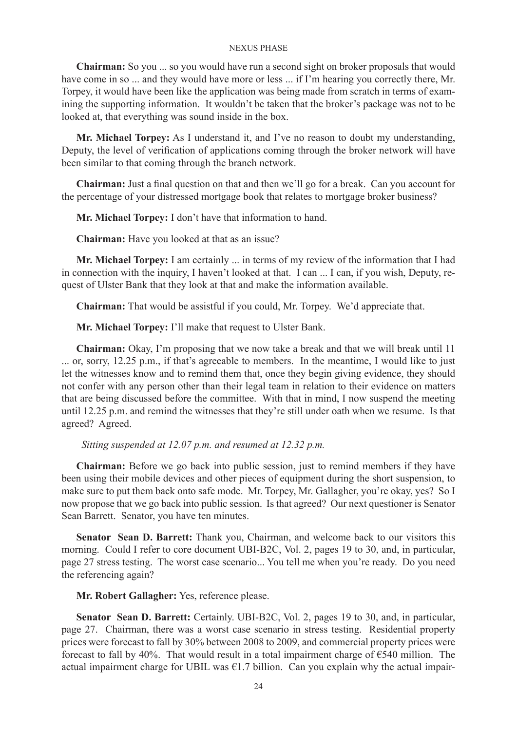**Chairman:** So you ... so you would have run a second sight on broker proposals that would have come in so ... and they would have more or less ... if I'm hearing you correctly there, Mr. Torpey, it would have been like the application was being made from scratch in terms of examining the supporting information. It wouldn't be taken that the broker's package was not to be looked at, that everything was sound inside in the box.

**Mr. Michael Torpey:** As I understand it, and I've no reason to doubt my understanding, Deputy, the level of verification of applications coming through the broker network will have been similar to that coming through the branch network.

**Chairman:** Just a final question on that and then we'll go for a break. Can you account for the percentage of your distressed mortgage book that relates to mortgage broker business?

**Mr. Michael Torpey:** I don't have that information to hand.

**Chairman:** Have you looked at that as an issue?

**Mr. Michael Torpey:** I am certainly ... in terms of my review of the information that I had in connection with the inquiry, I haven't looked at that. I can ... I can, if you wish, Deputy, request of Ulster Bank that they look at that and make the information available.

**Chairman:** That would be assistful if you could, Mr. Torpey. We'd appreciate that.

**Mr. Michael Torpey:** I'll make that request to Ulster Bank.

**Chairman:** Okay, I'm proposing that we now take a break and that we will break until 11 ... or, sorry, 12.25 p.m., if that's agreeable to members. In the meantime, I would like to just let the witnesses know and to remind them that, once they begin giving evidence, they should not confer with any person other than their legal team in relation to their evidence on matters that are being discussed before the committee. With that in mind, I now suspend the meeting until 12.25 p.m. and remind the witnesses that they're still under oath when we resume. Is that agreed? Agreed.

 *Sitting suspended at 12.07 p.m. and resumed at 12.32 p.m.* 

**Chairman:** Before we go back into public session, just to remind members if they have been using their mobile devices and other pieces of equipment during the short suspension, to make sure to put them back onto safe mode. Mr. Torpey, Mr. Gallagher, you're okay, yes? So I now propose that we go back into public session. Is that agreed? Our next questioner is Senator Sean Barrett. Senator, you have ten minutes.

**Senator Sean D. Barrett:** Thank you, Chairman, and welcome back to our visitors this morning. Could I refer to core document UBI-B2C, Vol. 2, pages 19 to 30, and, in particular, page 27 stress testing. The worst case scenario... You tell me when you're ready. Do you need the referencing again?

**Mr. Robert Gallagher:** Yes, reference please.

**Senator Sean D. Barrett:** Certainly. UBI-B2C, Vol. 2, pages 19 to 30, and, in particular, page 27. Chairman, there was a worst case scenario in stress testing. Residential property prices were forecast to fall by 30% between 2008 to 2009, and commercial property prices were forecast to fall by 40%. That would result in a total impairment charge of  $\epsilon$ 540 million. The actual impairment charge for UBIL was  $\epsilon$ 1.7 billion. Can you explain why the actual impair-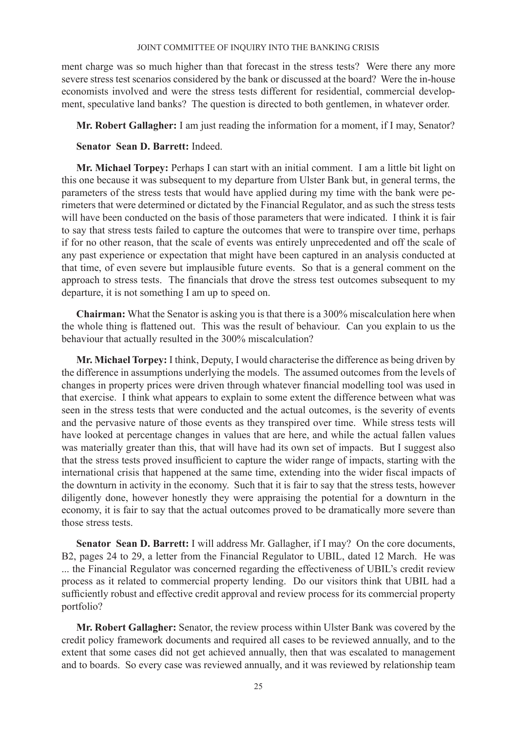ment charge was so much higher than that forecast in the stress tests? Were there any more severe stress test scenarios considered by the bank or discussed at the board? Were the in-house economists involved and were the stress tests different for residential, commercial development, speculative land banks? The question is directed to both gentlemen, in whatever order.

**Mr. Robert Gallagher:** I am just reading the information for a moment, if I may, Senator?

# **Senator Sean D. Barrett:** Indeed.

**Mr. Michael Torpey:** Perhaps I can start with an initial comment. I am a little bit light on this one because it was subsequent to my departure from Ulster Bank but, in general terms, the parameters of the stress tests that would have applied during my time with the bank were perimeters that were determined or dictated by the Financial Regulator, and as such the stress tests will have been conducted on the basis of those parameters that were indicated. I think it is fair to say that stress tests failed to capture the outcomes that were to transpire over time, perhaps if for no other reason, that the scale of events was entirely unprecedented and off the scale of any past experience or expectation that might have been captured in an analysis conducted at that time, of even severe but implausible future events. So that is a general comment on the approach to stress tests. The financials that drove the stress test outcomes subsequent to my departure, it is not something I am up to speed on.

**Chairman:** What the Senator is asking you is that there is a 300% miscalculation here when the whole thing is flattened out. This was the result of behaviour. Can you explain to us the behaviour that actually resulted in the 300% miscalculation?

**Mr. Michael Torpey:** I think, Deputy, I would characterise the difference as being driven by the difference in assumptions underlying the models. The assumed outcomes from the levels of changes in property prices were driven through whatever financial modelling tool was used in that exercise. I think what appears to explain to some extent the difference between what was seen in the stress tests that were conducted and the actual outcomes, is the severity of events and the pervasive nature of those events as they transpired over time. While stress tests will have looked at percentage changes in values that are here, and while the actual fallen values was materially greater than this, that will have had its own set of impacts. But I suggest also that the stress tests proved insufficient to capture the wider range of impacts, starting with the international crisis that happened at the same time, extending into the wider fiscal impacts of the downturn in activity in the economy. Such that it is fair to say that the stress tests, however diligently done, however honestly they were appraising the potential for a downturn in the economy, it is fair to say that the actual outcomes proved to be dramatically more severe than those stress tests.

**Senator Sean D. Barrett:** I will address Mr. Gallagher, if I may? On the core documents, B2, pages 24 to 29, a letter from the Financial Regulator to UBIL, dated 12 March. He was ... the Financial Regulator was concerned regarding the effectiveness of UBIL's credit review process as it related to commercial property lending. Do our visitors think that UBIL had a sufficiently robust and effective credit approval and review process for its commercial property portfolio?

**Mr. Robert Gallagher:** Senator, the review process within Ulster Bank was covered by the credit policy framework documents and required all cases to be reviewed annually, and to the extent that some cases did not get achieved annually, then that was escalated to management and to boards. So every case was reviewed annually, and it was reviewed by relationship team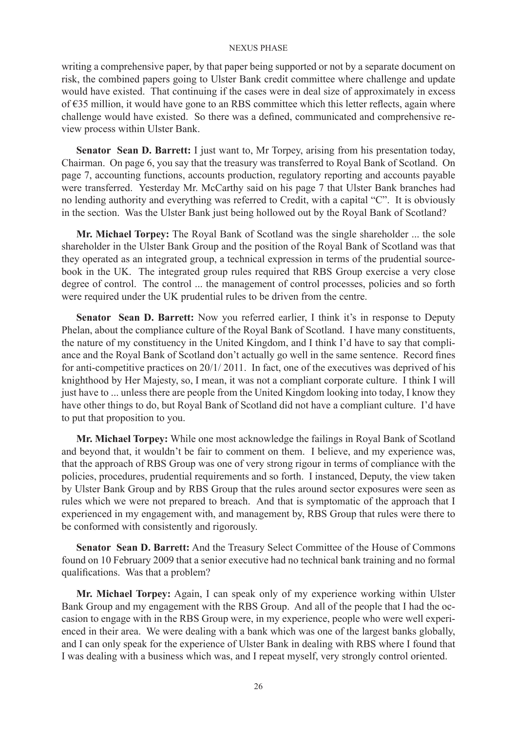writing a comprehensive paper, by that paper being supported or not by a separate document on risk, the combined papers going to Ulster Bank credit committee where challenge and update would have existed. That continuing if the cases were in deal size of approximately in excess of €35 million, it would have gone to an RBS committee which this letter reflects, again where challenge would have existed. So there was a defined, communicated and comprehensive review process within Ulster Bank.

**Senator Sean D. Barrett:** I just want to, Mr Torpey, arising from his presentation today, Chairman. On page 6, you say that the treasury was transferred to Royal Bank of Scotland. On page 7, accounting functions, accounts production, regulatory reporting and accounts payable were transferred. Yesterday Mr. McCarthy said on his page 7 that Ulster Bank branches had no lending authority and everything was referred to Credit, with a capital "C". It is obviously in the section. Was the Ulster Bank just being hollowed out by the Royal Bank of Scotland?

**Mr. Michael Torpey:** The Royal Bank of Scotland was the single shareholder ... the sole shareholder in the Ulster Bank Group and the position of the Royal Bank of Scotland was that they operated as an integrated group, a technical expression in terms of the prudential sourcebook in the UK. The integrated group rules required that RBS Group exercise a very close degree of control. The control ... the management of control processes, policies and so forth were required under the UK prudential rules to be driven from the centre.

**Senator Sean D. Barrett:** Now you referred earlier, I think it's in response to Deputy Phelan, about the compliance culture of the Royal Bank of Scotland. I have many constituents, the nature of my constituency in the United Kingdom, and I think I'd have to say that compliance and the Royal Bank of Scotland don't actually go well in the same sentence. Record fines for anti-competitive practices on 20/1/ 2011. In fact, one of the executives was deprived of his knighthood by Her Majesty, so, I mean, it was not a compliant corporate culture. I think I will just have to ... unless there are people from the United Kingdom looking into today, I know they have other things to do, but Royal Bank of Scotland did not have a compliant culture. I'd have to put that proposition to you.

**Mr. Michael Torpey:** While one most acknowledge the failings in Royal Bank of Scotland and beyond that, it wouldn't be fair to comment on them. I believe, and my experience was, that the approach of RBS Group was one of very strong rigour in terms of compliance with the policies, procedures, prudential requirements and so forth. I instanced, Deputy, the view taken by Ulster Bank Group and by RBS Group that the rules around sector exposures were seen as rules which we were not prepared to breach. And that is symptomatic of the approach that I experienced in my engagement with, and management by, RBS Group that rules were there to be conformed with consistently and rigorously.

**Senator Sean D. Barrett:** And the Treasury Select Committee of the House of Commons found on 10 February 2009 that a senior executive had no technical bank training and no formal qualifications. Was that a problem?

**Mr. Michael Torpey:** Again, I can speak only of my experience working within Ulster Bank Group and my engagement with the RBS Group. And all of the people that I had the occasion to engage with in the RBS Group were, in my experience, people who were well experienced in their area. We were dealing with a bank which was one of the largest banks globally, and I can only speak for the experience of Ulster Bank in dealing with RBS where I found that I was dealing with a business which was, and I repeat myself, very strongly control oriented.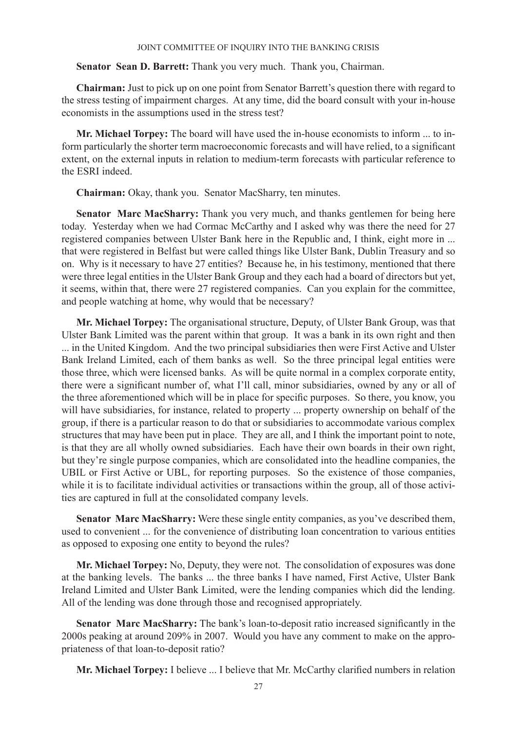**Senator Sean D. Barrett:** Thank you very much. Thank you, Chairman.

**Chairman:** Just to pick up on one point from Senator Barrett's question there with regard to the stress testing of impairment charges. At any time, did the board consult with your in-house economists in the assumptions used in the stress test?

**Mr. Michael Torpey:** The board will have used the in-house economists to inform ... to inform particularly the shorter term macroeconomic forecasts and will have relied, to a significant extent, on the external inputs in relation to medium-term forecasts with particular reference to the ESRI indeed.

**Chairman:** Okay, thank you. Senator MacSharry, ten minutes.

**Senator Marc MacSharry:** Thank you very much, and thanks gentlemen for being here today. Yesterday when we had Cormac McCarthy and I asked why was there the need for 27 registered companies between Ulster Bank here in the Republic and, I think, eight more in ... that were registered in Belfast but were called things like Ulster Bank, Dublin Treasury and so on. Why is it necessary to have 27 entities? Because he, in his testimony, mentioned that there were three legal entities in the Ulster Bank Group and they each had a board of directors but yet, it seems, within that, there were 27 registered companies. Can you explain for the committee, and people watching at home, why would that be necessary?

**Mr. Michael Torpey:** The organisational structure, Deputy, of Ulster Bank Group, was that Ulster Bank Limited was the parent within that group. It was a bank in its own right and then

... in the United Kingdom. And the two principal subsidiaries then were First Active and Ulster Bank Ireland Limited, each of them banks as well. So the three principal legal entities were those three, which were licensed banks. As will be quite normal in a complex corporate entity, there were a significant number of, what I'll call, minor subsidiaries, owned by any or all of the three aforementioned which will be in place for specific purposes. So there, you know, you will have subsidiaries, for instance, related to property ... property ownership on behalf of the group, if there is a particular reason to do that or subsidiaries to accommodate various complex structures that may have been put in place. They are all, and I think the important point to note, is that they are all wholly owned subsidiaries. Each have their own boards in their own right, but they're single purpose companies, which are consolidated into the headline companies, the UBIL or First Active or UBL, for reporting purposes. So the existence of those companies, while it is to facilitate individual activities or transactions within the group, all of those activities are captured in full at the consolidated company levels.

**Senator Marc MacSharry:** Were these single entity companies, as you've described them, used to convenient ... for the convenience of distributing loan concentration to various entities as opposed to exposing one entity to beyond the rules?

**Mr. Michael Torpey:** No, Deputy, they were not. The consolidation of exposures was done at the banking levels. The banks ... the three banks I have named, First Active, Ulster Bank Ireland Limited and Ulster Bank Limited, were the lending companies which did the lending. All of the lending was done through those and recognised appropriately.

**Senator Marc MacSharry:** The bank's loan-to-deposit ratio increased significantly in the 2000s peaking at around 209% in 2007. Would you have any comment to make on the appropriateness of that loan-to-deposit ratio?

**Mr. Michael Torpey:** I believe ... I believe that Mr. McCarthy clarified numbers in relation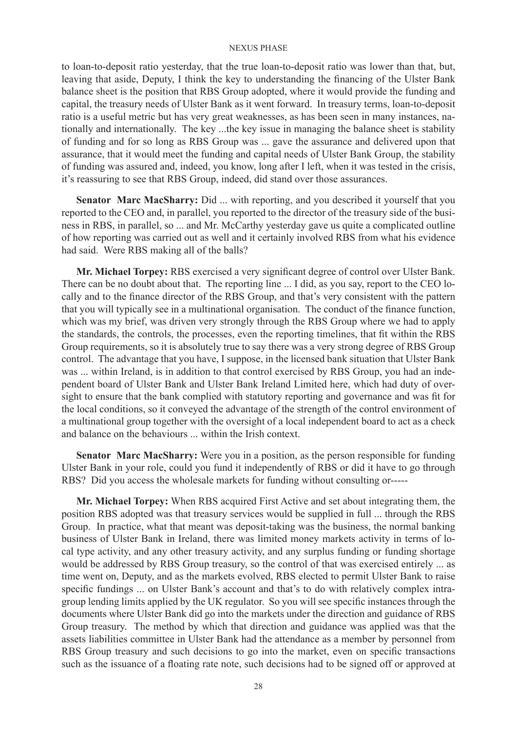to loan-to-deposit ratio yesterday, that the true loan-to-deposit ratio was lower than that, but, leaving that aside, Deputy, I think the key to understanding the financing of the Ulster Bank balance sheet is the position that RBS Group adopted, where it would provide the funding and capital, the treasury needs of Ulster Bank as it went forward. In treasury terms, loan-to-deposit ratio is a useful metric but has very great weaknesses, as has been seen in many instances, nationally and internationally. The key ...the key issue in managing the balance sheet is stability of funding and for so long as RBS Group was ... gave the assurance and delivered upon that assurance, that it would meet the funding and capital needs of Ulster Bank Group, the stability of funding was assured and, indeed, you know, long after I left, when it was tested in the crisis, it's reassuring to see that RBS Group, indeed, did stand over those assurances.

**Senator Marc MacSharry:** Did ... with reporting, and you described it yourself that you reported to the CEO and, in parallel, you reported to the director of the treasury side of the business in RBS, in parallel, so ... and Mr. McCarthy yesterday gave us quite a complicated outline of how reporting was carried out as well and it certainly involved RBS from what his evidence had said. Were RBS making all of the balls?

**Mr. Michael Torpey:** RBS exercised a very significant degree of control over Ulster Bank. There can be no doubt about that. The reporting line ... I did, as you say, report to the CEO locally and to the finance director of the RBS Group, and that's very consistent with the pattern that you will typically see in a multinational organisation. The conduct of the finance function, which was my brief, was driven very strongly through the RBS Group where we had to apply the standards, the controls, the processes, even the reporting timelines, that fit within the RBS Group requirements, so it is absolutely true to say there was a very strong degree of RBS Group control. The advantage that you have, I suppose, in the licensed bank situation that Ulster Bank was ... within Ireland, is in addition to that control exercised by RBS Group, you had an independent board of Ulster Bank and Ulster Bank Ireland Limited here, which had duty of oversight to ensure that the bank complied with statutory reporting and governance and was fit for the local conditions, so it conveyed the advantage of the strength of the control environment of a multinational group together with the oversight of a local independent board to act as a check and balance on the behaviours ... within the Irish context.

**Senator Marc MacSharry:** Were you in a position, as the person responsible for funding Ulster Bank in your role, could you fund it independently of RBS or did it have to go through RBS? Did you access the wholesale markets for funding without consulting or-----

**Mr. Michael Torpey:** When RBS acquired First Active and set about integrating them, the position RBS adopted was that treasury services would be supplied in full ... through the RBS Group. In practice, what that meant was deposit-taking was the business, the normal banking business of Ulster Bank in Ireland, there was limited money markets activity in terms of local type activity, and any other treasury activity, and any surplus funding or funding shortage would be addressed by RBS Group treasury, so the control of that was exercised entirely ... as time went on, Deputy, and as the markets evolved, RBS elected to permit Ulster Bank to raise specific fundings ... on Ulster Bank's account and that's to do with relatively complex intragroup lending limits applied by the UK regulator. So you will see specific instances through the documents where Ulster Bank did go into the markets under the direction and guidance of RBS Group treasury. The method by which that direction and guidance was applied was that the assets liabilities committee in Ulster Bank had the attendance as a member by personnel from RBS Group treasury and such decisions to go into the market, even on specific transactions such as the issuance of a floating rate note, such decisions had to be signed off or approved at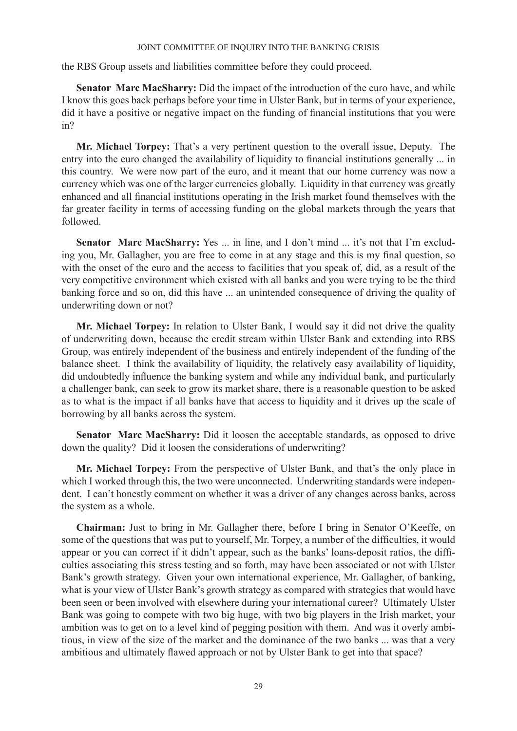the RBS Group assets and liabilities committee before they could proceed.

**Senator Marc MacSharry:** Did the impact of the introduction of the euro have, and while I know this goes back perhaps before your time in Ulster Bank, but in terms of your experience, did it have a positive or negative impact on the funding of financial institutions that you were in?

**Mr. Michael Torpey:** That's a very pertinent question to the overall issue, Deputy. The entry into the euro changed the availability of liquidity to financial institutions generally ... in this country. We were now part of the euro, and it meant that our home currency was now a currency which was one of the larger currencies globally. Liquidity in that currency was greatly enhanced and all financial institutions operating in the Irish market found themselves with the far greater facility in terms of accessing funding on the global markets through the years that followed.

Senator Marc MacSharry: Yes ... in line, and I don't mind ... it's not that I'm excluding you, Mr. Gallagher, you are free to come in at any stage and this is my final question, so with the onset of the euro and the access to facilities that you speak of, did, as a result of the very competitive environment which existed with all banks and you were trying to be the third banking force and so on, did this have ... an unintended consequence of driving the quality of underwriting down or not?

**Mr. Michael Torpey:** In relation to Ulster Bank, I would say it did not drive the quality of underwriting down, because the credit stream within Ulster Bank and extending into RBS Group, was entirely independent of the business and entirely independent of the funding of the balance sheet. I think the availability of liquidity, the relatively easy availability of liquidity, did undoubtedly influence the banking system and while any individual bank, and particularly a challenger bank, can seek to grow its market share, there is a reasonable question to be asked as to what is the impact if all banks have that access to liquidity and it drives up the scale of borrowing by all banks across the system.

**Senator Marc MacSharry:** Did it loosen the acceptable standards, as opposed to drive down the quality? Did it loosen the considerations of underwriting?

**Mr. Michael Torpey:** From the perspective of Ulster Bank, and that's the only place in which I worked through this, the two were unconnected. Underwriting standards were independent. I can't honestly comment on whether it was a driver of any changes across banks, across the system as a whole.

**Chairman:** Just to bring in Mr. Gallagher there, before I bring in Senator O'Keeffe, on some of the questions that was put to yourself, Mr. Torpey, a number of the difficulties, it would appear or you can correct if it didn't appear, such as the banks' loans-deposit ratios, the difficulties associating this stress testing and so forth, may have been associated or not with Ulster Bank's growth strategy. Given your own international experience, Mr. Gallagher, of banking, what is your view of Ulster Bank's growth strategy as compared with strategies that would have been seen or been involved with elsewhere during your international career? Ultimately Ulster Bank was going to compete with two big huge, with two big players in the Irish market, your ambition was to get on to a level kind of pegging position with them. And was it overly ambitious, in view of the size of the market and the dominance of the two banks ... was that a very ambitious and ultimately flawed approach or not by Ulster Bank to get into that space?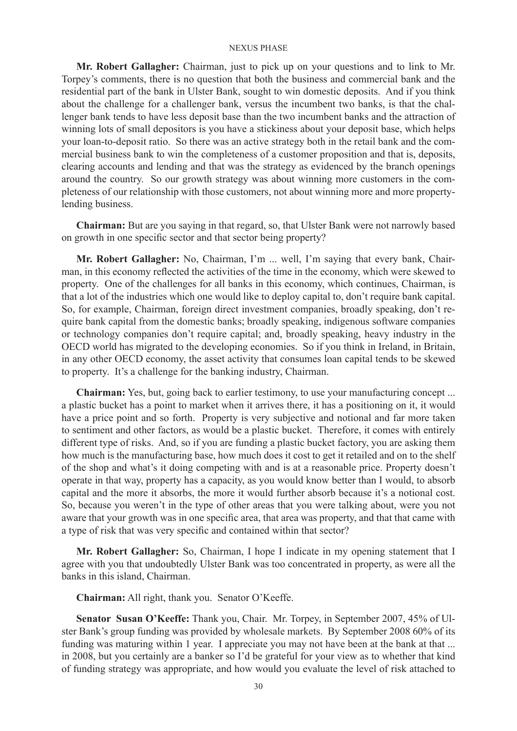**Mr. Robert Gallagher:** Chairman, just to pick up on your questions and to link to Mr. Torpey's comments, there is no question that both the business and commercial bank and the residential part of the bank in Ulster Bank, sought to win domestic deposits. And if you think about the challenge for a challenger bank, versus the incumbent two banks, is that the challenger bank tends to have less deposit base than the two incumbent banks and the attraction of winning lots of small depositors is you have a stickiness about your deposit base, which helps your loan-to-deposit ratio. So there was an active strategy both in the retail bank and the commercial business bank to win the completeness of a customer proposition and that is, deposits, clearing accounts and lending and that was the strategy as evidenced by the branch openings around the country. So our growth strategy was about winning more customers in the completeness of our relationship with those customers, not about winning more and more propertylending business.

**Chairman:** But are you saying in that regard, so, that Ulster Bank were not narrowly based on growth in one specific sector and that sector being property?

**Mr. Robert Gallagher:** No, Chairman, I'm ... well, I'm saying that every bank, Chairman, in this economy reflected the activities of the time in the economy, which were skewed to property. One of the challenges for all banks in this economy, which continues, Chairman, is that a lot of the industries which one would like to deploy capital to, don't require bank capital. So, for example, Chairman, foreign direct investment companies, broadly speaking, don't require bank capital from the domestic banks; broadly speaking, indigenous software companies or technology companies don't require capital; and, broadly speaking, heavy industry in the OECD world has migrated to the developing economies. So if you think in Ireland, in Britain, in any other OECD economy, the asset activity that consumes loan capital tends to be skewed to property. It's a challenge for the banking industry, Chairman.

**Chairman:** Yes, but, going back to earlier testimony, to use your manufacturing concept ... a plastic bucket has a point to market when it arrives there, it has a positioning on it, it would have a price point and so forth. Property is very subjective and notional and far more taken to sentiment and other factors, as would be a plastic bucket. Therefore, it comes with entirely different type of risks. And, so if you are funding a plastic bucket factory, you are asking them how much is the manufacturing base, how much does it cost to get it retailed and on to the shelf of the shop and what's it doing competing with and is at a reasonable price. Property doesn't operate in that way, property has a capacity, as you would know better than I would, to absorb capital and the more it absorbs, the more it would further absorb because it's a notional cost. So, because you weren't in the type of other areas that you were talking about, were you not aware that your growth was in one specific area, that area was property, and that that came with a type of risk that was very specific and contained within that sector?

**Mr. Robert Gallagher:** So, Chairman, I hope I indicate in my opening statement that I agree with you that undoubtedly Ulster Bank was too concentrated in property, as were all the banks in this island, Chairman.

**Chairman:** All right, thank you. Senator O'Keeffe.

**Senator Susan O'Keeffe:** Thank you, Chair. Mr. Torpey, in September 2007, 45% of Ulster Bank's group funding was provided by wholesale markets. By September 2008 60% of its funding was maturing within 1 year. I appreciate you may not have been at the bank at that ... in 2008, but you certainly are a banker so I'd be grateful for your view as to whether that kind of funding strategy was appropriate, and how would you evaluate the level of risk attached to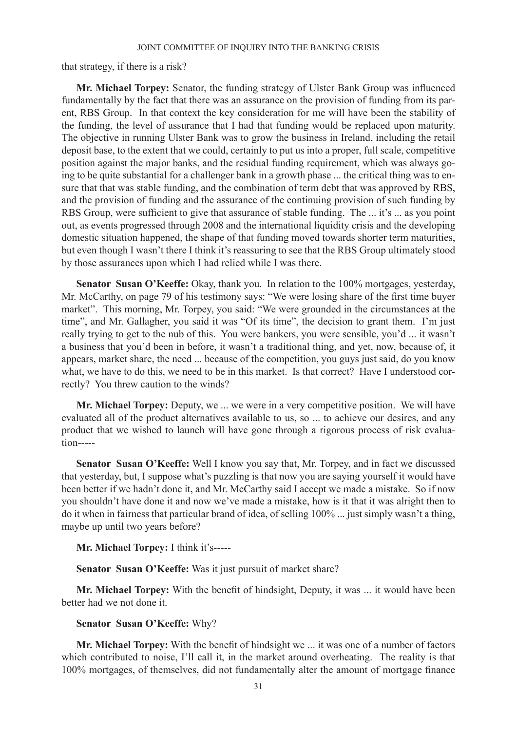that strategy, if there is a risk?

**Mr. Michael Torpey:** Senator, the funding strategy of Ulster Bank Group was influenced fundamentally by the fact that there was an assurance on the provision of funding from its parent, RBS Group. In that context the key consideration for me will have been the stability of the funding, the level of assurance that I had that funding would be replaced upon maturity. The objective in running Ulster Bank was to grow the business in Ireland, including the retail deposit base, to the extent that we could, certainly to put us into a proper, full scale, competitive position against the major banks, and the residual funding requirement, which was always going to be quite substantial for a challenger bank in a growth phase ... the critical thing was to ensure that that was stable funding, and the combination of term debt that was approved by RBS, and the provision of funding and the assurance of the continuing provision of such funding by RBS Group, were sufficient to give that assurance of stable funding. The ... it's ... as you point out, as events progressed through 2008 and the international liquidity crisis and the developing domestic situation happened, the shape of that funding moved towards shorter term maturities, but even though I wasn't there I think it's reassuring to see that the RBS Group ultimately stood by those assurances upon which I had relied while I was there.

**Senator Susan O'Keeffe:** Okay, thank you. In relation to the 100% mortgages, yesterday, Mr. McCarthy, on page 79 of his testimony says: "We were losing share of the first time buyer market". This morning, Mr. Torpey, you said: "We were grounded in the circumstances at the time", and Mr. Gallagher, you said it was "Of its time", the decision to grant them. I'm just really trying to get to the nub of this. You were bankers, you were sensible, you'd ... it wasn't a business that you'd been in before, it wasn't a traditional thing, and yet, now, because of, it appears, market share, the need ... because of the competition, you guys just said, do you know what, we have to do this, we need to be in this market. Is that correct? Have I understood correctly? You threw caution to the winds?

**Mr. Michael Torpey:** Deputy, we ... we were in a very competitive position. We will have evaluated all of the product alternatives available to us, so ... to achieve our desires, and any product that we wished to launch will have gone through a rigorous process of risk evaluation-----

**Senator Susan O'Keeffe:** Well I know you say that, Mr. Torpey, and in fact we discussed that yesterday, but, I suppose what's puzzling is that now you are saying yourself it would have been better if we hadn't done it, and Mr. McCarthy said I accept we made a mistake. So if now you shouldn't have done it and now we've made a mistake, how is it that it was alright then to do it when in fairness that particular brand of idea, of selling 100% ... just simply wasn't a thing, maybe up until two years before?

**Mr. Michael Torpey:** I think it's-----

**Senator Susan O'Keeffe:** Was it just pursuit of market share?

**Mr. Michael Torpey:** With the benefit of hindsight, Deputy, it was ... it would have been better had we not done it.

### **Senator Susan O'Keeffe:** Why?

**Mr. Michael Torpey:** With the benefit of hindsight we ... it was one of a number of factors which contributed to noise, I'll call it, in the market around overheating. The reality is that 100% mortgages, of themselves, did not fundamentally alter the amount of mortgage finance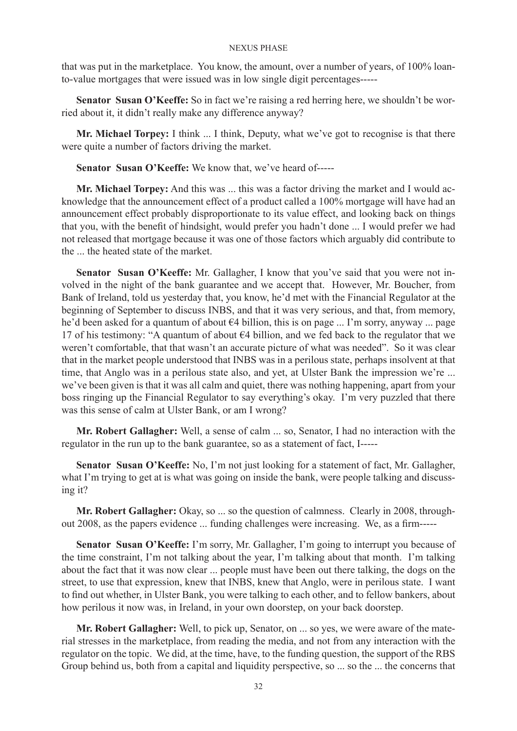that was put in the marketplace. You know, the amount, over a number of years, of 100% loanto-value mortgages that were issued was in low single digit percentages-----

**Senator Susan O'Keeffe:** So in fact we're raising a red herring here, we shouldn't be worried about it, it didn't really make any difference anyway?

**Mr. Michael Torpey:** I think ... I think, Deputy, what we've got to recognise is that there were quite a number of factors driving the market.

**Senator Susan O'Keeffe:** We know that, we've heard of-----

**Mr. Michael Torpey:** And this was ... this was a factor driving the market and I would acknowledge that the announcement effect of a product called a 100% mortgage will have had an announcement effect probably disproportionate to its value effect, and looking back on things that you, with the benefit of hindsight, would prefer you hadn't done ... I would prefer we had not released that mortgage because it was one of those factors which arguably did contribute to the the heated state of the market.

**Senator Susan O'Keeffe:** Mr. Gallagher, I know that you've said that you were not involved in the night of the bank guarantee and we accept that. However, Mr. Boucher, from Bank of Ireland, told us yesterday that, you know, he'd met with the Financial Regulator at the beginning of September to discuss INBS, and that it was very serious, and that, from memory, he'd been asked for a quantum of about  $\epsilon$ 4 billion, this is on page ... I'm sorry, anyway ... page 17 of his testimony: "A quantum of about €4 billion, and we fed back to the regulator that we weren't comfortable, that that wasn't an accurate picture of what was needed". So it was clear that in the market people understood that INBS was in a perilous state, perhaps insolvent at that time, that Anglo was in a perilous state also, and yet, at Ulster Bank the impression we're ... we've been given is that it was all calm and quiet, there was nothing happening, apart from your boss ringing up the Financial Regulator to say everything's okay. I'm very puzzled that there was this sense of calm at Ulster Bank, or am I wrong?

**Mr. Robert Gallagher:** Well, a sense of calm ... so, Senator, I had no interaction with the regulator in the run up to the bank guarantee, so as a statement of fact, I-----

**Senator Susan O'Keeffe:** No, I'm not just looking for a statement of fact, Mr. Gallagher, what I'm trying to get at is what was going on inside the bank, were people talking and discussing it?

**Mr. Robert Gallagher:** Okay, so ... so the question of calmness. Clearly in 2008, throughout 2008, as the papers evidence ... funding challenges were increasing. We, as a firm-----

**Senator Susan O'Keeffe:** I'm sorry, Mr. Gallagher, I'm going to interrupt you because of the time constraint, I'm not talking about the year, I'm talking about that month. I'm talking about the fact that it was now clear ... people must have been out there talking, the dogs on the street, to use that expression, knew that INBS, knew that Anglo, were in perilous state. I want to find out whether, in Ulster Bank, you were talking to each other, and to fellow bankers, about how perilous it now was, in Ireland, in your own doorstep, on your back doorstep.

**Mr. Robert Gallagher:** Well, to pick up, Senator, on ... so yes, we were aware of the material stresses in the marketplace, from reading the media, and not from any interaction with the regulator on the topic. We did, at the time, have, to the funding question, the support of the RBS Group behind us, both from a capital and liquidity perspective, so ... so the ... the concerns that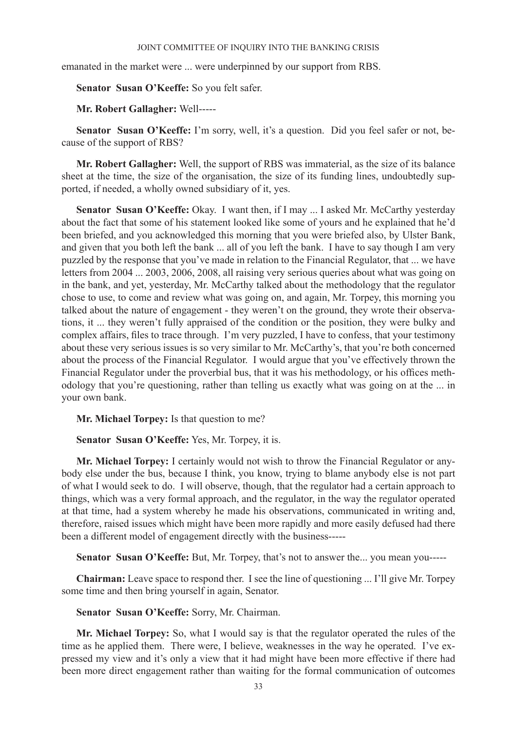emanated in the market were ... were underpinned by our support from RBS.

**Senator Susan O'Keeffe:** So you felt safer.

**Mr. Robert Gallagher:** Well-----

**Senator Susan O'Keeffe:** I'm sorry, well, it's a question. Did you feel safer or not, because of the support of RBS?

**Mr. Robert Gallagher:** Well, the support of RBS was immaterial, as the size of its balance sheet at the time, the size of the organisation, the size of its funding lines, undoubtedly supported, if needed, a wholly owned subsidiary of it, yes.

Senator Susan O'Keeffe: Okay. I want then, if I may ... I asked Mr. McCarthy yesterday about the fact that some of his statement looked like some of yours and he explained that he'd been briefed, and you acknowledged this morning that you were briefed also, by Ulster Bank, and given that you both left the bank ... all of you left the bank. I have to say though I am very puzzled by the response that you've made in relation to the Financial Regulator, that ... we have letters from 2004 ... 2003, 2006, 2008, all raising very serious queries about what was going on in the bank, and yet, yesterday, Mr. McCarthy talked about the methodology that the regulator chose to use, to come and review what was going on, and again, Mr. Torpey, this morning you talked about the nature of engagement - they weren't on the ground, they wrote their observations, it ... they weren't fully appraised of the condition or the position, they were bulky and complex affairs, files to trace through. I'm very puzzled, I have to confess, that your testimony about these very serious issues is so very similar to Mr. McCarthy's, that you're both concerned about the process of the Financial Regulator. I would argue that you've effectively thrown the Financial Regulator under the proverbial bus, that it was his methodology, or his offices methodology that you're questioning, rather than telling us exactly what was going on at the ... in your own bank.

**Mr. Michael Torpey:** Is that question to me?

**Senator Susan O'Keeffe:** Yes, Mr. Torpey, it is.

**Mr. Michael Torpey:** I certainly would not wish to throw the Financial Regulator or anybody else under the bus, because I think, you know, trying to blame anybody else is not part of what I would seek to do. I will observe, though, that the regulator had a certain approach to things, which was a very formal approach, and the regulator, in the way the regulator operated at that time, had a system whereby he made his observations, communicated in writing and, therefore, raised issues which might have been more rapidly and more easily defused had there been a different model of engagement directly with the business-----

**Senator Susan O'Keeffe:** But, Mr. Torpey, that's not to answer the... you mean you-----

**Chairman:** Leave space to respond ther. I see the line of questioning ... I'll give Mr. Torpey some time and then bring yourself in again, Senator.

**Senator Susan O'Keeffe:** Sorry, Mr. Chairman.

**Mr. Michael Torpey:** So, what I would say is that the regulator operated the rules of the time as he applied them. There were, I believe, weaknesses in the way he operated. I've expressed my view and it's only a view that it had might have been more effective if there had been more direct engagement rather than waiting for the formal communication of outcomes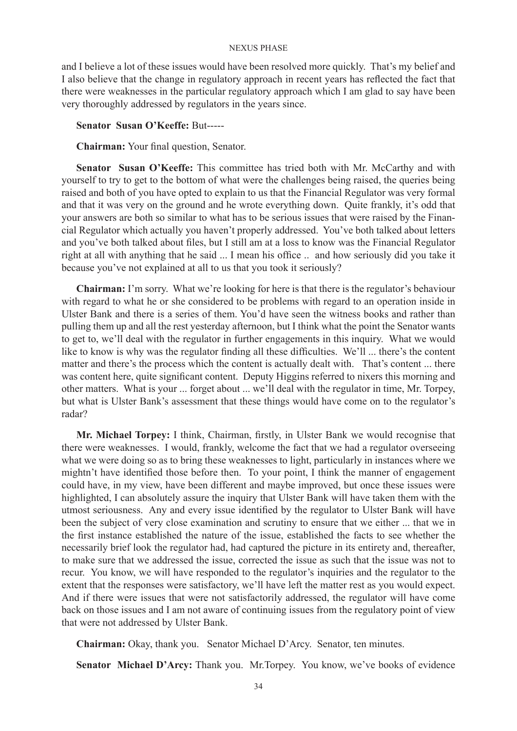and I believe a lot of these issues would have been resolved more quickly. That's my belief and I also believe that the change in regulatory approach in recent years has reflected the fact that there were weaknesses in the particular regulatory approach which I am glad to say have been very thoroughly addressed by regulators in the years since.

### **Senator Susan O'Keeffe:** But-----

**Chairman:** Your final question, Senator.

Senator Susan O'Keeffe: This committee has tried both with Mr. McCarthy and with yourself to try to get to the bottom of what were the challenges being raised, the queries being raised and both of you have opted to explain to us that the Financial Regulator was very formal and that it was very on the ground and he wrote everything down. Quite frankly, it's odd that your answers are both so similar to what has to be serious issues that were raised by the Financial Regulator which actually you haven't properly addressed. You've both talked about letters and you've both talked about files, but I still am at a loss to know was the Financial Regulator right at all with anything that he said ... I mean his office .. and how seriously did you take it because you've not explained at all to us that you took it seriously?

**Chairman:** I'm sorry. What we're looking for here is that there is the regulator's behaviour with regard to what he or she considered to be problems with regard to an operation inside in Ulster Bank and there is a series of them. You'd have seen the witness books and rather than pulling them up and all the rest yesterday afternoon, but I think what the point the Senator wants to get to, we'll deal with the regulator in further engagements in this inquiry. What we would like to know is why was the regulator finding all these difficulties. We'll ... there's the content matter and there's the process which the content is actually dealt with. That's content ... there was content here, quite significant content. Deputy Higgins referred to nixers this morning and other matters. What is your ... forget about ... we'll deal with the regulator in time, Mr. Torpey, but what is Ulster Bank's assessment that these things would have come on to the regulator's radar?

**Mr. Michael Torpey:** I think, Chairman, firstly, in Ulster Bank we would recognise that there were weaknesses. I would, frankly, welcome the fact that we had a regulator overseeing what we were doing so as to bring these weaknesses to light, particularly in instances where we mightn't have identified those before then. To your point, I think the manner of engagement could have, in my view, have been different and maybe improved, but once these issues were highlighted, I can absolutely assure the inquiry that Ulster Bank will have taken them with the utmost seriousness. Any and every issue identified by the regulator to Ulster Bank will have been the subject of very close examination and scrutiny to ensure that we either ... that we in the first instance established the nature of the issue, established the facts to see whether the necessarily brief look the regulator had, had captured the picture in its entirety and, thereafter, to make sure that we addressed the issue, corrected the issue as such that the issue was not to recur. You know, we will have responded to the regulator's inquiries and the regulator to the extent that the responses were satisfactory, we'll have left the matter rest as you would expect. And if there were issues that were not satisfactorily addressed, the regulator will have come back on those issues and I am not aware of continuing issues from the regulatory point of view that were not addressed by Ulster Bank.

**Chairman:** Okay, thank you. Senator Michael D'Arcy. Senator, ten minutes.

**Senator Michael D'Arcy:** Thank you. Mr.Torpey. You know, we've books of evidence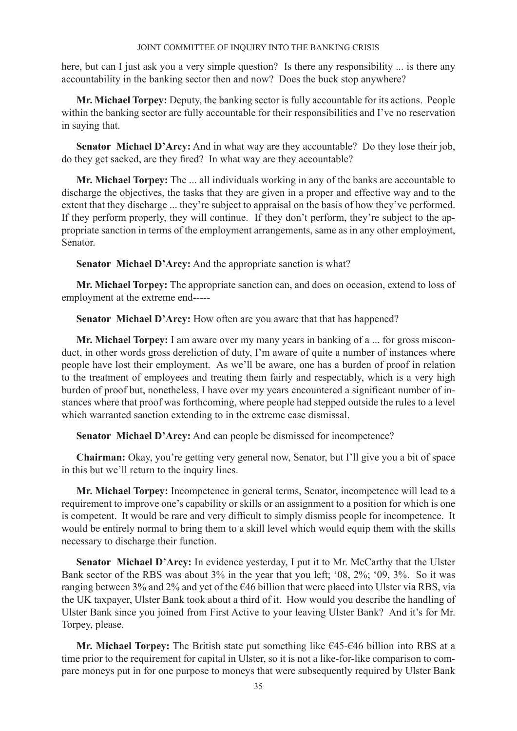here, but can I just ask you a very simple question? Is there any responsibility ... is there any accountability in the banking sector then and now? Does the buck stop anywhere?

**Mr. Michael Torpey:** Deputy, the banking sector is fully accountable for its actions. People within the banking sector are fully accountable for their responsibilities and I've no reservation in saying that.

**Senator Michael D'Arcy:** And in what way are they accountable? Do they lose their job, do they get sacked, are they fired? In what way are they accountable?

**Mr. Michael Torpey:** The ... all individuals working in any of the banks are accountable to discharge the objectives, the tasks that they are given in a proper and effective way and to the extent that they discharge ... they're subject to appraisal on the basis of how they've performed. If they perform properly, they will continue. If they don't perform, they're subject to the appropriate sanction in terms of the employment arrangements, same as in any other employment, Senator.

**Senator Michael D'Arcy:** And the appropriate sanction is what?

**Mr. Michael Torpey:** The appropriate sanction can, and does on occasion, extend to loss of employment at the extreme end-----

**Senator Michael D'Arcy:** How often are you aware that that has happened?

**Mr. Michael Torpey:** I am aware over my many years in banking of a ... for gross misconduct, in other words gross dereliction of duty, I'm aware of quite a number of instances where people have lost their employment. As we'll be aware, one has a burden of proof in relation to the treatment of employees and treating them fairly and respectably, which is a very high burden of proof but, nonetheless, I have over my years encountered a significant number of instances where that proof was forthcoming, where people had stepped outside the rules to a level which warranted sanction extending to in the extreme case dismissal.

**Senator Michael D'Arcy:** And can people be dismissed for incompetence?

**Chairman:** Okay, you're getting very general now, Senator, but I'll give you a bit of space in this but we'll return to the inquiry lines.

**Mr. Michael Torpey:** Incompetence in general terms, Senator, incompetence will lead to a requirement to improve one's capability or skills or an assignment to a position for which is one is competent. It would be rare and very difficult to simply dismiss people for incompetence. It would be entirely normal to bring them to a skill level which would equip them with the skills necessary to discharge their function.

Senator Michael D'Arcy: In evidence yesterday, I put it to Mr. McCarthy that the Ulster Bank sector of the RBS was about 3% in the year that you left; '08, 2%; '09, 3%. So it was ranging between 3% and 2% and yet of the €46 billion that were placed into Ulster via RBS, via the UK taxpayer, Ulster Bank took about a third of it. How would you describe the handling of Ulster Bank since you joined from First Active to your leaving Ulster Bank? And it's for Mr. Torpey, please.

**Mr. Michael Torpey:** The British state put something like €45-€46 billion into RBS at a time prior to the requirement for capital in Ulster, so it is not a like-for-like comparison to compare moneys put in for one purpose to moneys that were subsequently required by Ulster Bank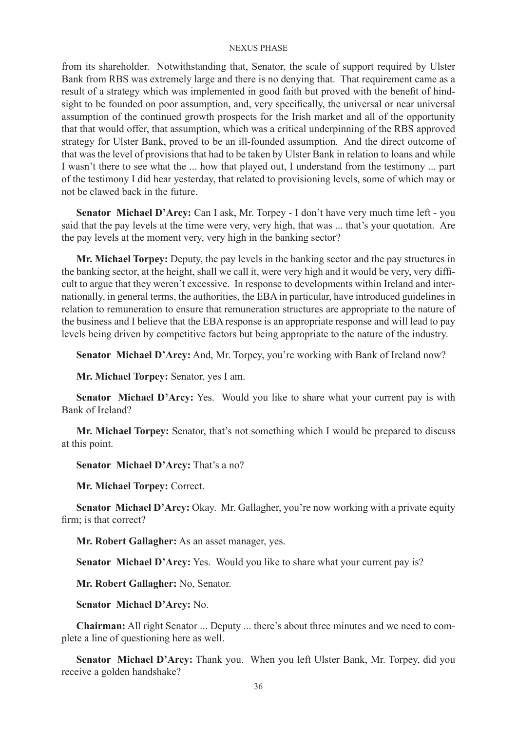from its shareholder. Notwithstanding that, Senator, the scale of support required by Ulster Bank from RBS was extremely large and there is no denying that. That requirement came as a result of a strategy which was implemented in good faith but proved with the benefit of hindsight to be founded on poor assumption, and, very specifically, the universal or near universal assumption of the continued growth prospects for the Irish market and all of the opportunity that that would offer, that assumption, which was a critical underpinning of the RBS approved strategy for Ulster Bank, proved to be an ill-founded assumption. And the direct outcome of that was the level of provisions that had to be taken by Ulster Bank in relation to loans and while I wasn't there to see what the ... how that played out, I understand from the testimony ... part of the testimony I did hear yesterday, that related to provisioning levels, some of which may or not be clawed back in the future.

**Senator Michael D'Arcy:** Can I ask, Mr. Torpey - I don't have very much time left - you said that the pay levels at the time were very, very high, that was ... that's your quotation. Are the pay levels at the moment very, very high in the banking sector?

**Mr. Michael Torpey:** Deputy, the pay levels in the banking sector and the pay structures in the banking sector, at the height, shall we call it, were very high and it would be very, very difficult to argue that they weren't excessive. In response to developments within Ireland and internationally, in general terms, the authorities, the EBA in particular, have introduced guidelines in relation to remuneration to ensure that remuneration structures are appropriate to the nature of the business and I believe that the EBA response is an appropriate response and will lead to pay levels being driven by competitive factors but being appropriate to the nature of the industry.

**Senator Michael D'Arcy:** And, Mr. Torpey, you're working with Bank of Ireland now?

**Mr. Michael Torpey:** Senator, yes I am.

**Senator Michael D'Arcy:** Yes. Would you like to share what your current pay is with Bank of Ireland?

**Mr. Michael Torpey:** Senator, that's not something which I would be prepared to discuss at this point.

**Senator Michael D'Arcy:** That's a no?

**Mr. Michael Torpey:** Correct.

Senator Michael D'Arcy: Okay. Mr. Gallagher, you're now working with a private equity firm: is that correct?

**Mr. Robert Gallagher:** As an asset manager, yes.

**Senator Michael D'Arcy:** Yes. Would you like to share what your current pay is?

**Mr. Robert Gallagher:** No, Senator.

**Senator Michael D'Arcy:** No.

**Chairman:** All right Senator ... Deputy ... there's about three minutes and we need to complete a line of questioning here as well.

**Senator Michael D'Arcy:** Thank you. When you left Ulster Bank, Mr. Torpey, did you receive a golden handshake?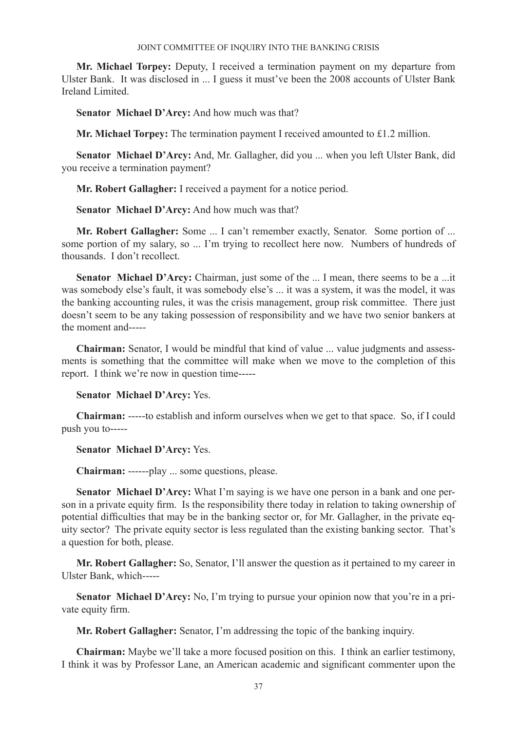**Mr. Michael Torpey:** Deputy, I received a termination payment on my departure from Ulster Bank. It was disclosed in ... I guess it must've been the 2008 accounts of Ulster Bank Ireland Limited.

**Senator Michael D'Arcy:** And how much was that?

**Mr. Michael Torpey:** The termination payment I received amounted to £1.2 million.

**Senator Michael D'Arcy:** And, Mr. Gallagher, did you ... when you left Ulster Bank, did you receive a termination payment?

**Mr. Robert Gallagher:** I received a payment for a notice period.

**Senator Michael D'Arcy:** And how much was that?

**Mr. Robert Gallagher:** Some ... I can't remember exactly, Senator. Some portion of ... some portion of my salary, so ... I'm trying to recollect here now. Numbers of hundreds of thousands. I don't recollect.

**Senator Michael D'Arcy:** Chairman, just some of the ... I mean, there seems to be a ...it was somebody else's fault, it was somebody else's ... it was a system, it was the model, it was the banking accounting rules, it was the crisis management, group risk committee. There just doesn't seem to be any taking possession of responsibility and we have two senior bankers at the moment and-----

**Chairman:** Senator, I would be mindful that kind of value ... value judgments and assessments is something that the committee will make when we move to the completion of this report. I think we're now in question time-----

**Senator Michael D'Arcy:** Yes.

**Chairman:** -----to establish and inform ourselves when we get to that space. So, if I could push you to-----

**Senator Michael D'Arcy:** Yes.

**Chairman:** ------play ... some questions, please.

**Senator Michael D'Arcy:** What I'm saying is we have one person in a bank and one person in a private equity firm. Is the responsibility there today in relation to taking ownership of potential difficulties that may be in the banking sector or, for Mr. Gallagher, in the private equity sector? The private equity sector is less regulated than the existing banking sector. That's a question for both, please.

**Mr. Robert Gallagher:** So, Senator, I'll answer the question as it pertained to my career in Ulster Bank, which-----

**Senator Michael D'Arcy:** No, I'm trying to pursue your opinion now that you're in a private equity firm.

**Mr. Robert Gallagher:** Senator, I'm addressing the topic of the banking inquiry.

**Chairman:** Maybe we'll take a more focused position on this. I think an earlier testimony, I think it was by Professor Lane, an American academic and significant commenter upon the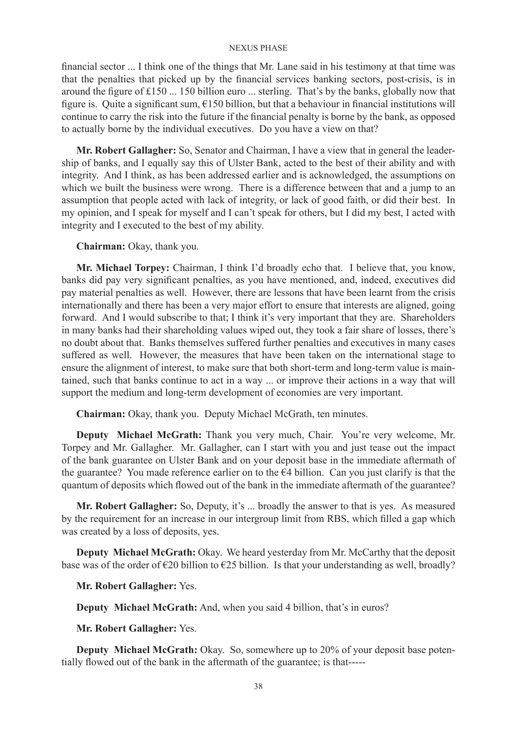financial sector ... I think one of the things that Mr. Lane said in his testimony at that time was that the penalties that picked up by the financial services banking sectors, post-crisis, is in around the figure of £150 ... 150 billion euro ... sterling. That's by the banks, globally now that figure is. Quite a significant sum, €150 billion, but that a behaviour in financial institutions will continue to carry the risk into the future if the financial penalty is borne by the bank, as opposed to actually borne by the individual executives. Do you have a view on that?

**Mr. Robert Gallagher:** So, Senator and Chairman, I have a view that in general the leadership of banks, and I equally say this of Ulster Bank, acted to the best of their ability and with integrity. And I think, as has been addressed earlier and is acknowledged, the assumptions on which we built the business were wrong. There is a difference between that and a jump to an assumption that people acted with lack of integrity, or lack of good faith, or did their best. In my opinion, and I speak for myself and I can't speak for others, but I did my best, I acted with integrity and I executed to the best of my ability.

**Chairman:** Okay, thank you.

**Mr. Michael Torpey:** Chairman, I think I'd broadly echo that. I believe that, you know, banks did pay very significant penalties, as you have mentioned, and, indeed, executives did pay material penalties as well. However, there are lessons that have been learnt from the crisis internationally and there has been a very major effort to ensure that interests are aligned, going forward. And I would subscribe to that; I think it's very important that they are. Shareholders in many banks had their shareholding values wiped out, they took a fair share of losses, there's no doubt about that. Banks themselves suffered further penalties and executives in many cases suffered as well. However, the measures that have been taken on the international stage to ensure the alignment of interest, to make sure that both short-term and long-term value is maintained, such that banks continue to act in a way ... or improve their actions in a way that will support the medium and long-term development of economies are very important.

**Chairman:** Okay, thank you. Deputy Michael McGrath, ten minutes.

**Deputy Michael McGrath:** Thank you very much, Chair. You're very welcome, Mr. Torpey and Mr. Gallagher. Mr. Gallagher, can I start with you and just tease out the impact of the bank guarantee on Ulster Bank and on your deposit base in the immediate aftermath of the guarantee? You made reference earlier on to the  $\epsilon$ 4 billion. Can you just clarify is that the quantum of deposits which flowed out of the bank in the immediate aftermath of the guarantee?

**Mr. Robert Gallagher:** So, Deputy, it's ... broadly the answer to that is yes. As measured by the requirement for an increase in our intergroup limit from RBS, which filled a gap which was created by a loss of deposits, yes.

**Deputy Michael McGrath:** Okay. We heard yesterday from Mr. McCarthy that the deposit base was of the order of  $\epsilon$ 20 billion to  $\epsilon$ 25 billion. Is that your understanding as well, broadly?

**Mr. Robert Gallagher:** Yes.

**Deputy Michael McGrath:** And, when you said 4 billion, that's in euros?

**Mr. Robert Gallagher:** Yes.

**Deputy Michael McGrath:** Okay. So, somewhere up to 20% of your deposit base potentially flowed out of the bank in the aftermath of the guarantee; is that-----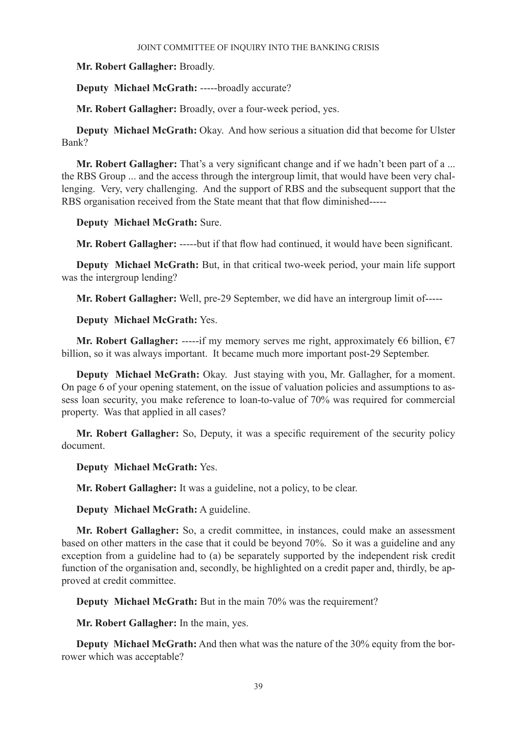**Mr. Robert Gallagher:** Broadly.

**Deputy Michael McGrath:** -----broadly accurate?

**Mr. Robert Gallagher:** Broadly, over a four-week period, yes.

**Deputy Michael McGrath:** Okay. And how serious a situation did that become for Ulster Bank?

**Mr. Robert Gallagher:** That's a very significant change and if we hadn't been part of a ... the RBS Group ... and the access through the intergroup limit, that would have been very challenging. Very, very challenging. And the support of RBS and the subsequent support that the RBS organisation received from the State meant that that flow diminished-----

**Deputy Michael McGrath:** Sure.

**Mr. Robert Gallagher:** -----but if that flow had continued, it would have been significant.

**Deputy Michael McGrath:** But, in that critical two-week period, your main life support was the intergroup lending?

**Mr. Robert Gallagher:** Well, pre-29 September, we did have an intergroup limit of-----

**Deputy Michael McGrath:** Yes.

**Mr. Robert Gallagher:** -----if my memory serves me right, approximately  $\epsilon$ 6 billion,  $\epsilon$ 7 billion, so it was always important. It became much more important post-29 September.

**Deputy Michael McGrath:** Okay. Just staying with you, Mr. Gallagher, for a moment. On page 6 of your opening statement, on the issue of valuation policies and assumptions to assess loan security, you make reference to loan-to-value of 70% was required for commercial property. Was that applied in all cases?

**Mr. Robert Gallagher:** So, Deputy, it was a specific requirement of the security policy document.

**Deputy Michael McGrath:** Yes.

**Mr. Robert Gallagher:** It was a guideline, not a policy, to be clear.

**Deputy Michael McGrath:** A guideline.

**Mr. Robert Gallagher:** So, a credit committee, in instances, could make an assessment based on other matters in the case that it could be beyond 70%. So it was a guideline and any exception from a guideline had to (a) be separately supported by the independent risk credit function of the organisation and, secondly, be highlighted on a credit paper and, thirdly, be approved at credit committee.

**Deputy Michael McGrath:** But in the main 70% was the requirement?

**Mr. Robert Gallagher:** In the main, yes.

**Deputy Michael McGrath:** And then what was the nature of the 30% equity from the borrower which was acceptable?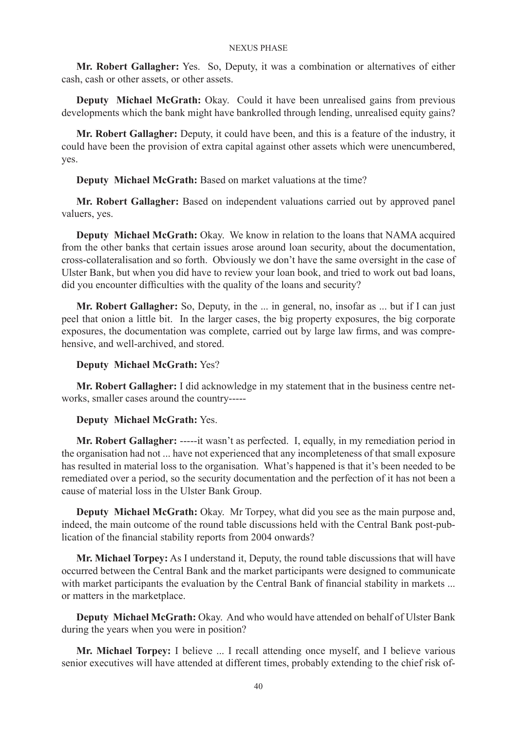**Mr. Robert Gallagher:** Yes. So, Deputy, it was a combination or alternatives of either cash, cash or other assets, or other assets.

**Deputy Michael McGrath:** Okay. Could it have been unrealised gains from previous developments which the bank might have bankrolled through lending, unrealised equity gains?

**Mr. Robert Gallagher:** Deputy, it could have been, and this is a feature of the industry, it could have been the provision of extra capital against other assets which were unencumbered, yes.

**Deputy Michael McGrath:** Based on market valuations at the time?

**Mr. Robert Gallagher:** Based on independent valuations carried out by approved panel valuers, yes.

**Deputy Michael McGrath:** Okay. We know in relation to the loans that NAMA acquired from the other banks that certain issues arose around loan security, about the documentation, cross-collateralisation and so forth. Obviously we don't have the same oversight in the case of Ulster Bank, but when you did have to review your loan book, and tried to work out bad loans, did you encounter difficulties with the quality of the loans and security?

**Mr. Robert Gallagher:** So, Deputy, in the ... in general, no, insofar as ... but if I can just peel that onion a little bit. In the larger cases, the big property exposures, the big corporate exposures, the documentation was complete, carried out by large law firms, and was comprehensive, and well-archived, and stored.

### **Deputy Michael McGrath:** Yes?

**Mr. Robert Gallagher:** I did acknowledge in my statement that in the business centre networks, smaller cases around the country-----

### **Deputy Michael McGrath:** Yes.

**Mr. Robert Gallagher:** -----it wasn't as perfected. I, equally, in my remediation period in the organisation had not ... have not experienced that any incompleteness of that small exposure has resulted in material loss to the organisation. What's happened is that it's been needed to be remediated over a period, so the security documentation and the perfection of it has not been a cause of material loss in the Ulster Bank Group.

**Deputy Michael McGrath:** Okay. Mr Torpey, what did you see as the main purpose and, indeed, the main outcome of the round table discussions held with the Central Bank post-publication of the financial stability reports from 2004 onwards?

**Mr. Michael Torpey:** As I understand it, Deputy, the round table discussions that will have occurred between the Central Bank and the market participants were designed to communicate with market participants the evaluation by the Central Bank of financial stability in markets ... or matters in the marketplace.

**Deputy Michael McGrath:** Okay. And who would have attended on behalf of Ulster Bank during the years when you were in position?

**Mr. Michael Torpey:** I believe ... I recall attending once myself, and I believe various senior executives will have attended at different times, probably extending to the chief risk of-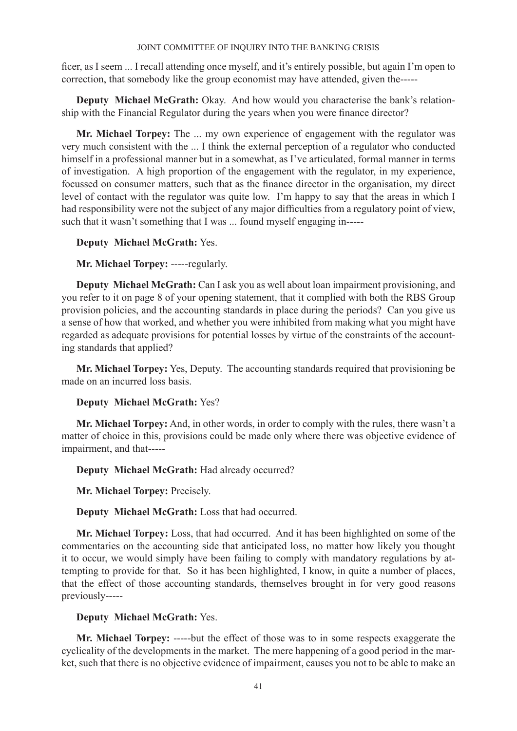ficer, as I seem ... I recall attending once myself, and it's entirely possible, but again I'm open to correction, that somebody like the group economist may have attended, given the-----

**Deputy Michael McGrath:** Okay. And how would you characterise the bank's relationship with the Financial Regulator during the years when you were finance director?

**Mr. Michael Torpey:** The ... my own experience of engagement with the regulator was very much consistent with the ... I think the external perception of a regulator who conducted himself in a professional manner but in a somewhat, as I've articulated, formal manner in terms of investigation. A high proportion of the engagement with the regulator, in my experience, focussed on consumer matters, such that as the finance director in the organisation, my direct level of contact with the regulator was quite low. I'm happy to say that the areas in which I had responsibility were not the subject of any major difficulties from a regulatory point of view, such that it wasn't something that I was ... found myself engaging in-----

# **Deputy Michael McGrath:** Yes.

# **Mr. Michael Torpey:** -----regularly.

**Deputy Michael McGrath:** Can I ask you as well about loan impairment provisioning, and you refer to it on page 8 of your opening statement, that it complied with both the RBS Group provision policies, and the accounting standards in place during the periods? Can you give us a sense of how that worked, and whether you were inhibited from making what you might have regarded as adequate provisions for potential losses by virtue of the constraints of the accounting standards that applied?

**Mr. Michael Torpey:** Yes, Deputy. The accounting standards required that provisioning be made on an incurred loss basis.

### **Deputy Michael McGrath:** Yes?

**Mr. Michael Torpey:** And, in other words, in order to comply with the rules, there wasn't a matter of choice in this, provisions could be made only where there was objective evidence of impairment, and that-----

**Deputy Michael McGrath:** Had already occurred?

**Mr. Michael Torpey:** Precisely.

**Deputy Michael McGrath:** Loss that had occurred.

**Mr. Michael Torpey:** Loss, that had occurred. And it has been highlighted on some of the commentaries on the accounting side that anticipated loss, no matter how likely you thought it to occur, we would simply have been failing to comply with mandatory regulations by attempting to provide for that. So it has been highlighted, I know, in quite a number of places, that the effect of those accounting standards, themselves brought in for very good reasons previously-----

# **Deputy Michael McGrath:** Yes.

**Mr. Michael Torpey:** -----but the effect of those was to in some respects exaggerate the cyclicality of the developments in the market. The mere happening of a good period in the market, such that there is no objective evidence of impairment, causes you not to be able to make an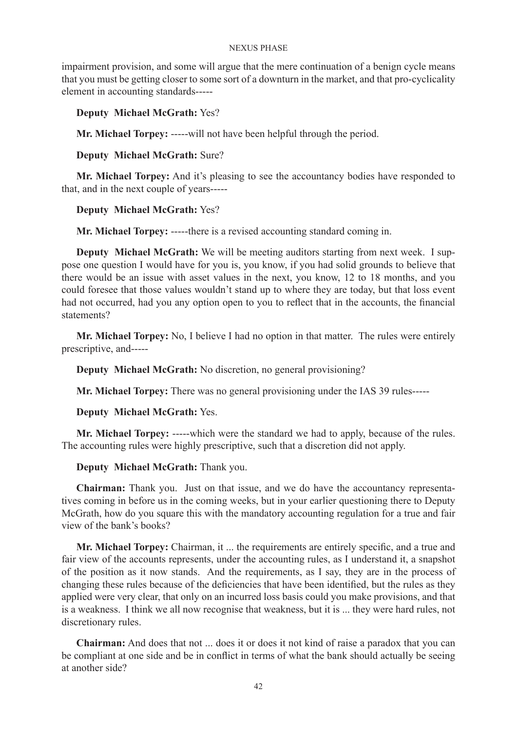impairment provision, and some will argue that the mere continuation of a benign cycle means that you must be getting closer to some sort of a downturn in the market, and that pro-cyclicality element in accounting standards-----

# **Deputy Michael McGrath:** Yes?

**Mr. Michael Torpey:** -----will not have been helpful through the period.

# **Deputy Michael McGrath:** Sure?

**Mr. Michael Torpey:** And it's pleasing to see the accountancy bodies have responded to that, and in the next couple of years-----

# **Deputy Michael McGrath:** Yes?

**Mr. Michael Torpey:** -----there is a revised accounting standard coming in.

**Deputy Michael McGrath:** We will be meeting auditors starting from next week. I suppose one question I would have for you is, you know, if you had solid grounds to believe that there would be an issue with asset values in the next, you know, 12 to 18 months, and you could foresee that those values wouldn't stand up to where they are today, but that loss event had not occurred, had you any option open to you to reflect that in the accounts, the financial statements?

**Mr. Michael Torpey:** No, I believe I had no option in that matter. The rules were entirely prescriptive, and-----

**Deputy Michael McGrath:** No discretion, no general provisioning?

**Mr. Michael Torpey:** There was no general provisioning under the IAS 39 rules-----

**Deputy Michael McGrath:** Yes.

**Mr. Michael Torpey:** -----which were the standard we had to apply, because of the rules. The accounting rules were highly prescriptive, such that a discretion did not apply.

### **Deputy Michael McGrath:** Thank you.

**Chairman:** Thank you. Just on that issue, and we do have the accountancy representatives coming in before us in the coming weeks, but in your earlier questioning there to Deputy McGrath, how do you square this with the mandatory accounting regulation for a true and fair view of the bank's books?

**Mr. Michael Torpey:** Chairman, it ... the requirements are entirely specific, and a true and fair view of the accounts represents, under the accounting rules, as I understand it, a snapshot of the position as it now stands. And the requirements, as I say, they are in the process of changing these rules because of the deficiencies that have been identified, but the rules as they applied were very clear, that only on an incurred loss basis could you make provisions, and that is a weakness. I think we all now recognise that weakness, but it is ... they were hard rules, not discretionary rules.

**Chairman:** And does that not ... does it or does it not kind of raise a paradox that you can be compliant at one side and be in conflict in terms of what the bank should actually be seeing at another side?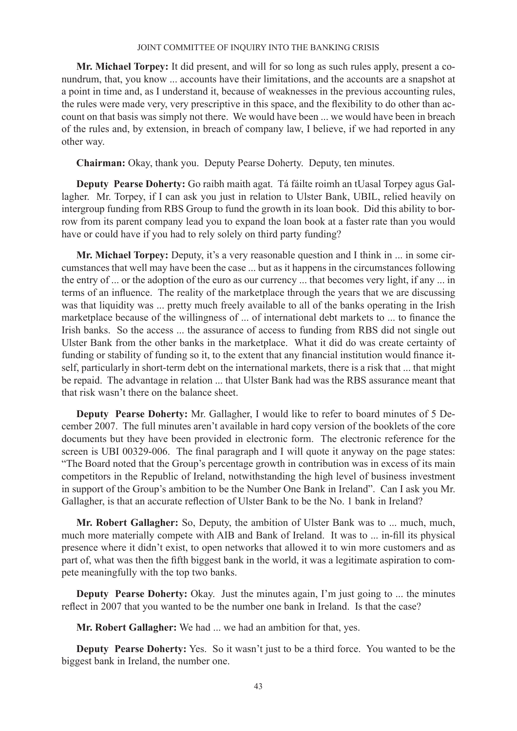**Mr. Michael Torpey:** It did present, and will for so long as such rules apply, present a conundrum, that, you know ... accounts have their limitations, and the accounts are a snapshot at a point in time and, as I understand it, because of weaknesses in the previous accounting rules, the rules were made very, very prescriptive in this space, and the flexibility to do other than account on that basis was simply not there. We would have been ... we would have been in breach of the rules and, by extension, in breach of company law, I believe, if we had reported in any other way.

**Chairman:** Okay, thank you. Deputy Pearse Doherty. Deputy, ten minutes.

**Deputy Pearse Doherty:** Go raibh maith agat. Tá fáilte roimh an tUasal Torpey agus Gallagher. Mr. Torpey, if I can ask you just in relation to Ulster Bank, UBIL, relied heavily on intergroup funding from RBS Group to fund the growth in its loan book. Did this ability to borrow from its parent company lead you to expand the loan book at a faster rate than you would have or could have if you had to rely solely on third party funding?

**Mr. Michael Torpey:** Deputy, it's a very reasonable question and I think in ... in some circumstances that well may have been the case ... but as it happens in the circumstances following the entry of ... or the adoption of the euro as our currency ... that becomes very light, if any ... in terms of an influence. The reality of the marketplace through the years that we are discussing was that liquidity was ... pretty much freely available to all of the banks operating in the Irish marketplace because of the willingness of ... of international debt markets to ... to finance the Irish banks. So the access ... the assurance of access to funding from RBS did not single out Ulster Bank from the other banks in the marketplace. What it did do was create certainty of funding or stability of funding so it, to the extent that any financial institution would finance itself, particularly in short-term debt on the international markets, there is a risk that ... that might be repaid. The advantage in relation ... that Ulster Bank had was the RBS assurance meant that that risk wasn't there on the balance sheet.

**Deputy Pearse Doherty:** Mr. Gallagher, I would like to refer to board minutes of 5 December 2007. The full minutes aren't available in hard copy version of the booklets of the core documents but they have been provided in electronic form. The electronic reference for the screen is UBI 00329-006. The final paragraph and I will quote it anyway on the page states: "The Board noted that the Group's percentage growth in contribution was in excess of its main competitors in the Republic of Ireland, notwithstanding the high level of business investment in support of the Group's ambition to be the Number One Bank in Ireland". Can I ask you Mr. Gallagher, is that an accurate reflection of Ulster Bank to be the No. 1 bank in Ireland?

**Mr. Robert Gallagher:** So, Deputy, the ambition of Ulster Bank was to ... much, much, much more materially compete with AIB and Bank of Ireland. It was to ... in-fill its physical presence where it didn't exist, to open networks that allowed it to win more customers and as part of, what was then the fifth biggest bank in the world, it was a legitimate aspiration to compete meaningfully with the top two banks.

**Deputy Pearse Doherty:** Okay. Just the minutes again, I'm just going to ... the minutes reflect in 2007 that you wanted to be the number one bank in Ireland. Is that the case?

**Mr. Robert Gallagher:** We had ... we had an ambition for that, yes.

**Deputy Pearse Doherty:** Yes. So it wasn't just to be a third force. You wanted to be the biggest bank in Ireland, the number one.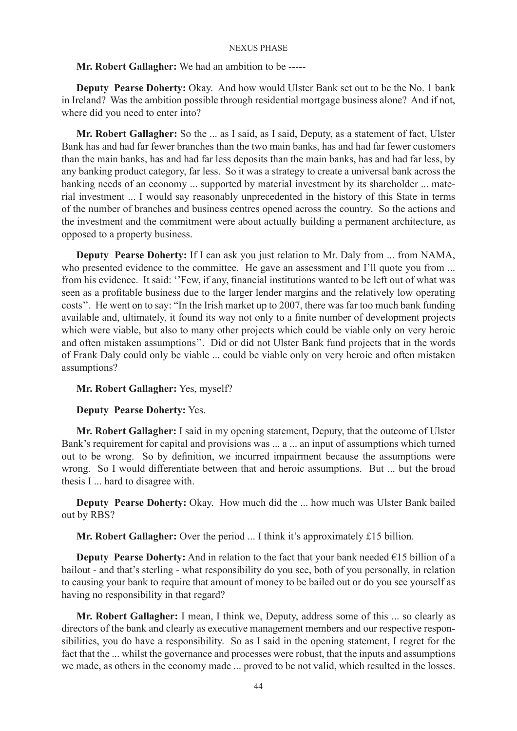### **Mr. Robert Gallagher:** We had an ambition to be -----

**Deputy Pearse Doherty:** Okay. And how would Ulster Bank set out to be the No. 1 bank in Ireland? Was the ambition possible through residential mortgage business alone? And if not, where did you need to enter into?

**Mr. Robert Gallagher:** So the ... as I said, as I said, Deputy, as a statement of fact, Ulster Bank has and had far fewer branches than the two main banks, has and had far fewer customers than the main banks, has and had far less deposits than the main banks, has and had far less, by any banking product category, far less. So it was a strategy to create a universal bank across the banking needs of an economy ... supported by material investment by its shareholder ... material investment ... I would say reasonably unprecedented in the history of this State in terms of the number of branches and business centres opened across the country. So the actions and the investment and the commitment were about actually building a permanent architecture, as opposed to a property business.

**Deputy Pearse Doherty:** If I can ask you just relation to Mr. Daly from ... from NAMA, who presented evidence to the committee. He gave an assessment and I'll quote you from ... from his evidence. It said: ''Few, if any, financial institutions wanted to be left out of what was seen as a profitable business due to the larger lender margins and the relatively low operating costs''. He went on to say: "In the Irish market up to 2007, there was far too much bank funding available and, ultimately, it found its way not only to a finite number of development projects which were viable, but also to many other projects which could be viable only on very heroic and often mistaken assumptions''. Did or did not Ulster Bank fund projects that in the words of Frank Daly could only be viable ... could be viable only on very heroic and often mistaken assumptions?

# **Mr. Robert Gallagher:** Yes, myself?

### **Deputy Pearse Doherty:** Yes.

**Mr. Robert Gallagher:** I said in my opening statement, Deputy, that the outcome of Ulster Bank's requirement for capital and provisions was ... a ... an input of assumptions which turned out to be wrong. So by definition, we incurred impairment because the assumptions were wrong. So I would differentiate between that and heroic assumptions. But ... but the broad thesis I ... hard to disagree with.

**Deputy Pearse Doherty:** Okay. How much did the ... how much was Ulster Bank bailed out by RBS?

**Mr. Robert Gallagher:** Over the period ... I think it's approximately £15 billion.

**Deputy Pearse Doherty:** And in relation to the fact that your bank needed  $\epsilon$ 15 billion of a bailout - and that's sterling - what responsibility do you see, both of you personally, in relation to causing your bank to require that amount of money to be bailed out or do you see yourself as having no responsibility in that regard?

**Mr. Robert Gallagher:** I mean, I think we, Deputy, address some of this ... so clearly as directors of the bank and clearly as executive management members and our respective responsibilities, you do have a responsibility. So as I said in the opening statement, I regret for the fact that the ... whilst the governance and processes were robust, that the inputs and assumptions we made, as others in the economy made ... proved to be not valid, which resulted in the losses.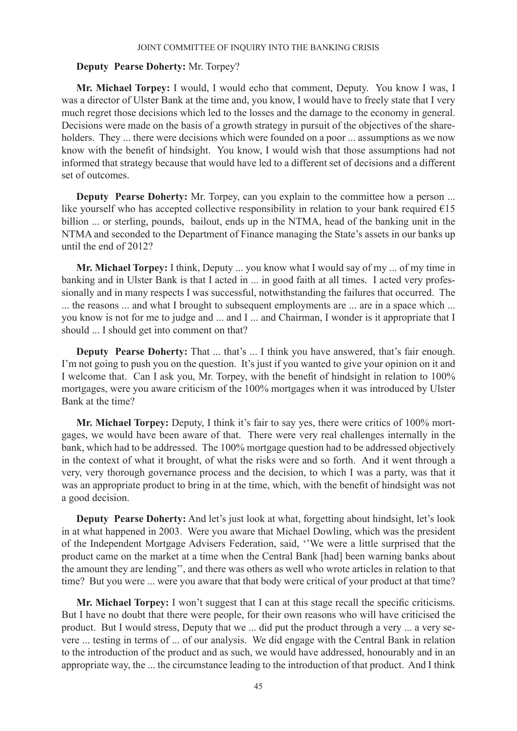### **Deputy Pearse Doherty:** Mr. Torpey?

**Mr. Michael Torpey:** I would, I would echo that comment, Deputy. You know I was, I was a director of Ulster Bank at the time and, you know, I would have to freely state that I very much regret those decisions which led to the losses and the damage to the economy in general. Decisions were made on the basis of a growth strategy in pursuit of the objectives of the shareholders. They ... there were decisions which were founded on a poor ... assumptions as we now know with the benefit of hindsight. You know, I would wish that those assumptions had not informed that strategy because that would have led to a different set of decisions and a different set of outcomes.

**Deputy Pearse Doherty:** Mr. Torpey, can you explain to the committee how a person ... like yourself who has accepted collective responsibility in relation to your bank required  $\epsilon$ 15 billion ... or sterling, pounds, bailout, ends up in the NTMA, head of the banking unit in the NTMA and seconded to the Department of Finance managing the State's assets in our banks up until the end of 2012?

**Mr. Michael Torpey:** I think, Deputy ... you know what I would say of my ... of my time in banking and in Ulster Bank is that I acted in ... in good faith at all times. I acted very professionally and in many respects I was successful, notwithstanding the failures that occurred. The ... the reasons ... and what I brought to subsequent employments are ... are in a space which ... you know is not for me to judge and ... and I ... and Chairman, I wonder is it appropriate that I should ... I should get into comment on that?

**Deputy Pearse Doherty:** That ... that's ... I think you have answered, that's fair enough. I'm not going to push you on the question. It's just if you wanted to give your opinion on it and I welcome that. Can I ask you, Mr. Torpey, with the benefit of hindsight in relation to 100% mortgages, were you aware criticism of the 100% mortgages when it was introduced by Ulster Bank at the time?

**Mr. Michael Torpey:** Deputy, I think it's fair to say yes, there were critics of 100% mortgages, we would have been aware of that. There were very real challenges internally in the bank, which had to be addressed. The 100% mortgage question had to be addressed objectively in the context of what it brought, of what the risks were and so forth. And it went through a very, very thorough governance process and the decision, to which I was a party, was that it was an appropriate product to bring in at the time, which, with the benefit of hindsight was not a good decision.

**Deputy Pearse Doherty:** And let's just look at what, forgetting about hindsight, let's look in at what happened in 2003. Were you aware that Michael Dowling, which was the president of the Independent Mortgage Advisers Federation, said, ''We were a little surprised that the product came on the market at a time when the Central Bank [had] been warning banks about the amount they are lending'', and there was others as well who wrote articles in relation to that time? But you were ... were you aware that that body were critical of your product at that time?

**Mr. Michael Torpey:** I won't suggest that I can at this stage recall the specific criticisms. But I have no doubt that there were people, for their own reasons who will have criticised the product. But I would stress, Deputy that we ... did put the product through a very ... a very severe ... testing in terms of ... of our analysis. We did engage with the Central Bank in relation to the introduction of the product and as such, we would have addressed, honourably and in an appropriate way, the ... the circumstance leading to the introduction of that product. And I think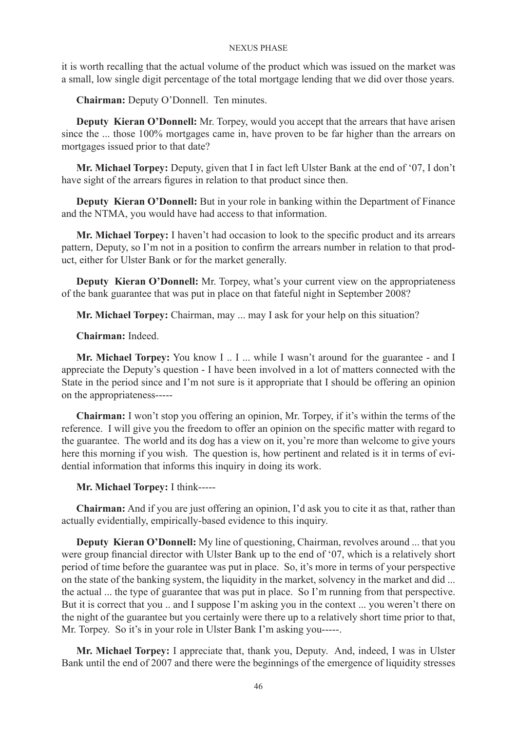it is worth recalling that the actual volume of the product which was issued on the market was a small, low single digit percentage of the total mortgage lending that we did over those years.

**Chairman:** Deputy O'Donnell. Ten minutes.

**Deputy Kieran O'Donnell:** Mr. Torpey, would you accept that the arrears that have arisen since the ... those 100% mortgages came in, have proven to be far higher than the arrears on mortgages issued prior to that date?

**Mr. Michael Torpey:** Deputy, given that I in fact left Ulster Bank at the end of '07, I don't have sight of the arrears figures in relation to that product since then.

**Deputy Kieran O'Donnell:** But in your role in banking within the Department of Finance and the NTMA, you would have had access to that information.

**Mr. Michael Torpey:** I haven't had occasion to look to the specific product and its arrears pattern, Deputy, so I'm not in a position to confirm the arrears number in relation to that product, either for Ulster Bank or for the market generally.

**Deputy Kieran O'Donnell:** Mr. Torpey, what's your current view on the appropriateness of the bank guarantee that was put in place on that fateful night in September 2008?

**Mr. Michael Torpey:** Chairman, may ... may I ask for your help on this situation?

**Chairman:** Indeed.

**Mr. Michael Torpey:** You know I .. I ... while I wasn't around for the guarantee - and I appreciate the Deputy's question - I have been involved in a lot of matters connected with the State in the period since and I'm not sure is it appropriate that I should be offering an opinion on the appropriateness-----

**Chairman:** I won't stop you offering an opinion, Mr. Torpey, if it's within the terms of the reference. I will give you the freedom to offer an opinion on the specific matter with regard to the guarantee. The world and its dog has a view on it, you're more than welcome to give yours here this morning if you wish. The question is, how pertinent and related is it in terms of evidential information that informs this inquiry in doing its work.

**Mr. Michael Torpey:** I think-----

**Chairman:** And if you are just offering an opinion, I'd ask you to cite it as that, rather than actually evidentially, empirically-based evidence to this inquiry.

**Deputy Kieran O'Donnell:** My line of questioning, Chairman, revolves around ... that you were group financial director with Ulster Bank up to the end of '07, which is a relatively short period of time before the guarantee was put in place. So, it's more in terms of your perspective on the state of the banking system, the liquidity in the market, solvency in the market and did ... the actual ... the type of guarantee that was put in place. So I'm running from that perspective. But it is correct that you ... and I suppose I'm asking you in the context ... you weren't there on the night of the guarantee but you certainly were there up to a relatively short time prior to that, Mr. Torpey. So it's in your role in Ulster Bank I'm asking you-----.

**Mr. Michael Torpey:** I appreciate that, thank you, Deputy. And, indeed, I was in Ulster Bank until the end of 2007 and there were the beginnings of the emergence of liquidity stresses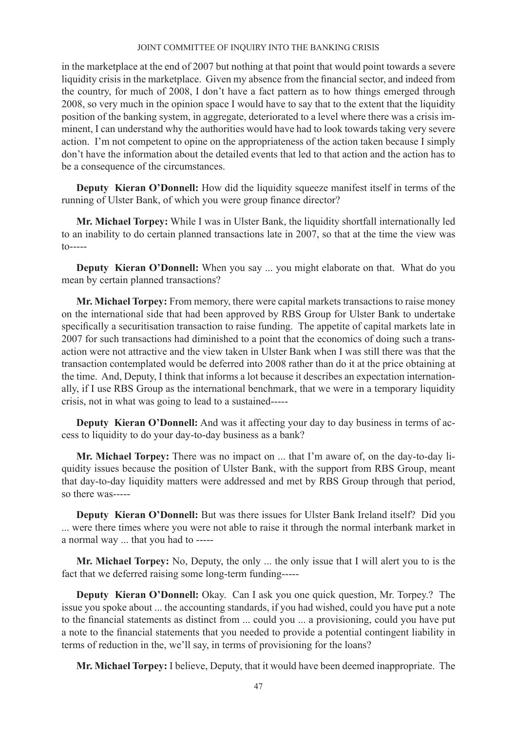in the marketplace at the end of 2007 but nothing at that point that would point towards a severe liquidity crisis in the marketplace. Given my absence from the financial sector, and indeed from the country, for much of 2008, I don't have a fact pattern as to how things emerged through 2008, so very much in the opinion space I would have to say that to the extent that the liquidity position of the banking system, in aggregate, deteriorated to a level where there was a crisis imminent, I can understand why the authorities would have had to look towards taking very severe action. I'm not competent to opine on the appropriateness of the action taken because I simply don't have the information about the detailed events that led to that action and the action has to be a consequence of the circumstances.

**Deputy Kieran O'Donnell:** How did the liquidity squeeze manifest itself in terms of the running of Ulster Bank, of which you were group finance director?

**Mr. Michael Torpey:** While I was in Ulster Bank, the liquidity shortfall internationally led to an inability to do certain planned transactions late in 2007, so that at the time the view was to-----

**Deputy Kieran O'Donnell:** When you say ... you might elaborate on that. What do you mean by certain planned transactions?

**Mr. Michael Torpey:** From memory, there were capital markets transactions to raise money on the international side that had been approved by RBS Group for Ulster Bank to undertake specifically a securitisation transaction to raise funding. The appetite of capital markets late in 2007 for such transactions had diminished to a point that the economics of doing such a transaction were not attractive and the view taken in Ulster Bank when I was still there was that the transaction contemplated would be deferred into 2008 rather than do it at the price obtaining at the time. And, Deputy, I think that informs a lot because it describes an expectation internationally, if I use RBS Group as the international benchmark, that we were in a temporary liquidity crisis, not in what was going to lead to a sustained-----

**Deputy Kieran O'Donnell:** And was it affecting your day to day business in terms of access to liquidity to do your day-to-day business as a bank?

**Mr. Michael Torpey:** There was no impact on ... that I'm aware of, on the day-to-day liquidity issues because the position of Ulster Bank, with the support from RBS Group, meant that day-to-day liquidity matters were addressed and met by RBS Group through that period, so there was-----

**Deputy Kieran O'Donnell:** But was there issues for Ulster Bank Ireland itself? Did you ... were there times where you were not able to raise it through the normal interbank market in a normal way ... that you had to -----

**Mr. Michael Torpey:** No, Deputy, the only ... the only issue that I will alert you to is the fact that we deferred raising some long-term funding-----

**Deputy Kieran O'Donnell:** Okay. Can I ask you one quick question, Mr. Torpey.? The issue you spoke about ... the accounting standards, if you had wished, could you have put a note to the financial statements as distinct from ... could you ... a provisioning, could you have put a note to the financial statements that you needed to provide a potential contingent liability in terms of reduction in the, we'll say, in terms of provisioning for the loans?

**Mr. Michael Torpey:** I believe, Deputy, that it would have been deemed inappropriate. The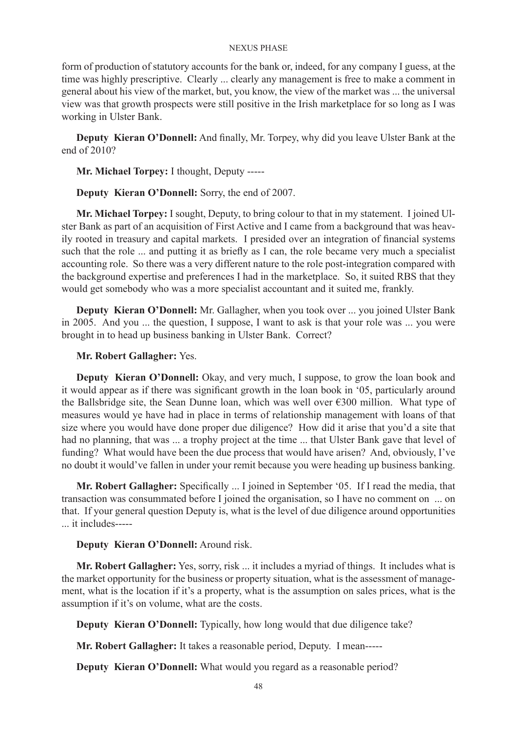form of production of statutory accounts for the bank or, indeed, for any company I guess, at the time was highly prescriptive. Clearly ... clearly any management is free to make a comment in general about his view of the market, but, you know, the view of the market was ... the universal view was that growth prospects were still positive in the Irish marketplace for so long as I was working in Ulster Bank.

**Deputy Kieran O'Donnell:** And finally, Mr. Torpey, why did you leave Ulster Bank at the end of 2010?

**Mr. Michael Torpey:** I thought, Deputy -----

**Deputy Kieran O'Donnell:** Sorry, the end of 2007.

**Mr. Michael Torpey:** I sought, Deputy, to bring colour to that in my statement. I joined Ulster Bank as part of an acquisition of First Active and I came from a background that was heavily rooted in treasury and capital markets. I presided over an integration of financial systems such that the role ... and putting it as briefly as I can, the role became very much a specialist accounting role. So there was a very different nature to the role post-integration compared with the background expertise and preferences I had in the marketplace. So, it suited RBS that they would get somebody who was a more specialist accountant and it suited me, frankly.

**Deputy Kieran O'Donnell:** Mr. Gallagher, when you took over ... you joined Ulster Bank in 2005. And you ... the question, I suppose, I want to ask is that your role was ... you were brought in to head up business banking in Ulster Bank. Correct?

# **Mr. Robert Gallagher:** Yes.

**Deputy Kieran O'Donnell:** Okay, and very much, I suppose, to grow the loan book and it would appear as if there was significant growth in the loan book in '05, particularly around the Ballsbridge site, the Sean Dunne loan, which was well over  $\epsilon$ 300 million. What type of measures would ye have had in place in terms of relationship management with loans of that size where you would have done proper due diligence? How did it arise that you'd a site that had no planning, that was ... a trophy project at the time ... that Ulster Bank gave that level of funding? What would have been the due process that would have arisen? And, obviously, I've no doubt it would've fallen in under your remit because you were heading up business banking.

**Mr. Robert Gallagher:** Specifically ... I joined in September '05. If I read the media, that transaction was consummated before I joined the organisation, so I have no comment on ... on that. If your general question Deputy is, what is the level of due diligence around opportunities ... it includes-----

### **Deputy Kieran O'Donnell:** Around risk.

**Mr. Robert Gallagher:** Yes, sorry, risk ... it includes a myriad of things. It includes what is the market opportunity for the business or property situation, what is the assessment of management, what is the location if it's a property, what is the assumption on sales prices, what is the assumption if it's on volume, what are the costs.

**Deputy Kieran O'Donnell:** Typically, how long would that due diligence take?

**Mr. Robert Gallagher:** It takes a reasonable period, Deputy. I mean-----

**Deputy Kieran O'Donnell:** What would you regard as a reasonable period?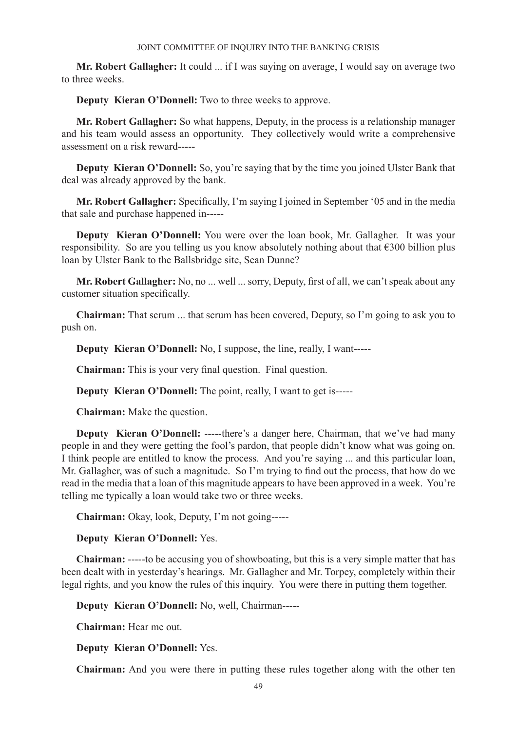**Mr. Robert Gallagher:** It could ... if I was saying on average, I would say on average two to three weeks.

**Deputy Kieran O'Donnell:** Two to three weeks to approve.

**Mr. Robert Gallagher:** So what happens, Deputy, in the process is a relationship manager and his team would assess an opportunity. They collectively would write a comprehensive assessment on a risk reward-----

**Deputy Kieran O'Donnell:** So, you're saying that by the time you joined Ulster Bank that deal was already approved by the bank.

**Mr. Robert Gallagher:** Specifically, I'm saying I joined in September '05 and in the media that sale and purchase happened in-----

**Deputy Kieran O'Donnell:** You were over the loan book, Mr. Gallagher. It was your responsibility. So are you telling us you know absolutely nothing about that €300 billion plus loan by Ulster Bank to the Ballsbridge site, Sean Dunne?

**Mr. Robert Gallagher:** No, no ... well ... sorry, Deputy, first of all, we can't speak about any customer situation specifically.

**Chairman:** That scrum ... that scrum has been covered, Deputy, so I'm going to ask you to push on.

**Deputy Kieran O'Donnell:** No, I suppose, the line, really, I want-----

**Chairman:** This is your very final question. Final question.

**Deputy Kieran O'Donnell:** The point, really, I want to get is-----

**Chairman:** Make the question.

**Deputy Kieran O'Donnell:** -----there's a danger here, Chairman, that we've had many people in and they were getting the fool's pardon, that people didn't know what was going on. I think people are entitled to know the process. And you're saying ... and this particular loan, Mr. Gallagher, was of such a magnitude. So I'm trying to find out the process, that how do we read in the media that a loan of this magnitude appears to have been approved in a week. You're telling me typically a loan would take two or three weeks.

**Chairman:** Okay, look, Deputy, I'm not going-----

### **Deputy Kieran O'Donnell:** Yes.

**Chairman:** -----to be accusing you of showboating, but this is a very simple matter that has been dealt with in yesterday's hearings. Mr. Gallagher and Mr. Torpey, completely within their legal rights, and you know the rules of this inquiry. You were there in putting them together.

**Deputy Kieran O'Donnell:** No, well, Chairman-----

**Chairman:** Hear me out.

**Deputy Kieran O'Donnell:** Yes.

**Chairman:** And you were there in putting these rules together along with the other ten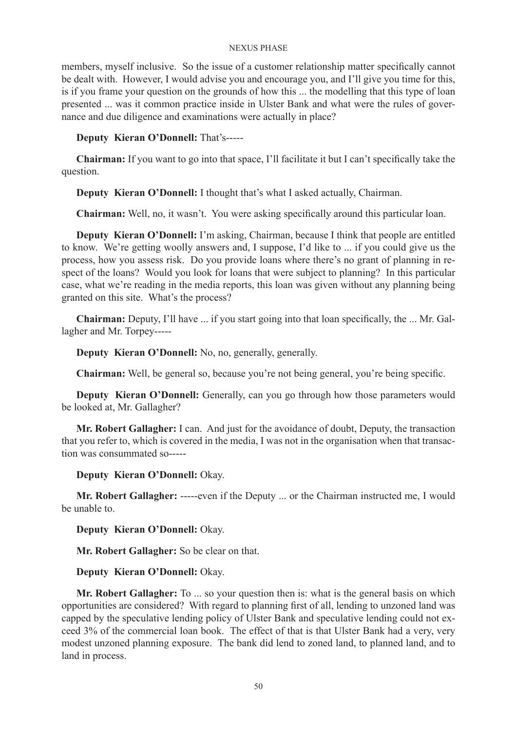members, myself inclusive. So the issue of a customer relationship matter specifically cannot be dealt with. However, I would advise you and encourage you, and I'll give you time for this, is if you frame your question on the grounds of how this ... the modelling that this type of loan presented ... was it common practice inside in Ulster Bank and what were the rules of governance and due diligence and examinations were actually in place?

**Deputy Kieran O'Donnell:** That's-----

**Chairman:** If you want to go into that space, I'll facilitate it but I can't specifically take the question.

**Deputy Kieran O'Donnell:** I thought that's what I asked actually, Chairman.

**Chairman:** Well, no, it wasn't. You were asking specifically around this particular loan.

**Deputy Kieran O'Donnell:** I'm asking, Chairman, because I think that people are entitled to know. We're getting woolly answers and, I suppose, I'd like to ... if you could give us the process, how you assess risk. Do you provide loans where there's no grant of planning in respect of the loans? Would you look for loans that were subject to planning? In this particular case, what we're reading in the media reports, this loan was given without any planning being granted on this site. What's the process?

**Chairman:** Deputy, I'll have ... if you start going into that loan specifically, the ... Mr. Gallagher and Mr. Torpey-----

**Deputy Kieran O'Donnell:** No, no, generally, generally.

**Chairman:** Well, be general so, because you're not being general, you're being specific.

**Deputy Kieran O'Donnell:** Generally, can you go through how those parameters would be looked at, Mr. Gallagher?

**Mr. Robert Gallagher:** I can. And just for the avoidance of doubt, Deputy, the transaction that you refer to, which is covered in the media, I was not in the organisation when that transaction was consummated so-----

**Deputy Kieran O'Donnell:** Okay.

**Mr. Robert Gallagher:** -----even if the Deputy ... or the Chairman instructed me, I would be unable to.

**Deputy Kieran O'Donnell:** Okay.

**Mr. Robert Gallagher:** So be clear on that.

**Deputy Kieran O'Donnell:** Okay.

**Mr. Robert Gallagher:** To ... so your question then is: what is the general basis on which opportunities are considered? With regard to planning first of all, lending to unzoned land was capped by the speculative lending policy of Ulster Bank and speculative lending could not exceed 3% of the commercial loan book. The effect of that is that Ulster Bank had a very, very modest unzoned planning exposure. The bank did lend to zoned land, to planned land, and to land in process.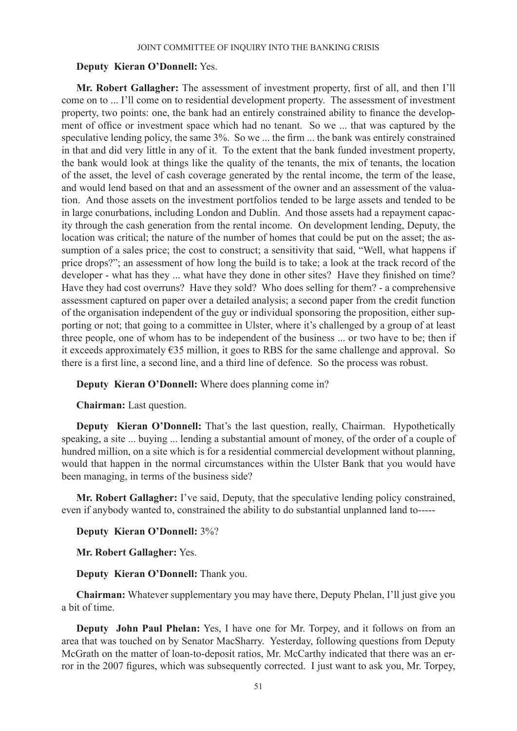### **Deputy Kieran O'Donnell:** Yes.

**Mr. Robert Gallagher:** The assessment of investment property, first of all, and then I'll come on to ... I'll come on to residential development property. The assessment of investment property, two points: one, the bank had an entirely constrained ability to finance the development of office or investment space which had no tenant. So we ... that was captured by the speculative lending policy, the same 3%. So we ... the firm ... the bank was entirely constrained in that and did very little in any of it. To the extent that the bank funded investment property, the bank would look at things like the quality of the tenants, the mix of tenants, the location of the asset, the level of cash coverage generated by the rental income, the term of the lease, and would lend based on that and an assessment of the owner and an assessment of the valuation. And those assets on the investment portfolios tended to be large assets and tended to be in large conurbations, including London and Dublin. And those assets had a repayment capacity through the cash generation from the rental income. On development lending, Deputy, the location was critical; the nature of the number of homes that could be put on the asset; the assumption of a sales price; the cost to construct; a sensitivity that said, "Well, what happens if price drops?"; an assessment of how long the build is to take; a look at the track record of the developer - what has they ... what have they done in other sites? Have they finished on time? Have they had cost overruns? Have they sold? Who does selling for them? - a comprehensive assessment captured on paper over a detailed analysis; a second paper from the credit function of the organisation independent of the guy or individual sponsoring the proposition, either supporting or not; that going to a committee in Ulster, where it's challenged by a group of at least three people, one of whom has to be independent of the business ... or two have to be; then if it exceeds approximately €35 million, it goes to RBS for the same challenge and approval. So there is a first line, a second line, and a third line of defence. So the process was robust.

**Deputy Kieran O'Donnell:** Where does planning come in?

**Chairman:** Last question.

**Deputy Kieran O'Donnell:** That's the last question, really, Chairman. Hypothetically speaking, a site ... buying ... lending a substantial amount of money, of the order of a couple of hundred million, on a site which is for a residential commercial development without planning, would that happen in the normal circumstances within the Ulster Bank that you would have been managing, in terms of the business side?

**Mr. Robert Gallagher:** I've said, Deputy, that the speculative lending policy constrained, even if anybody wanted to, constrained the ability to do substantial unplanned land to-----

**Deputy Kieran O'Donnell:** 3%?

**Mr. Robert Gallagher:** Yes.

**Deputy Kieran O'Donnell:** Thank you.

**Chairman:** Whatever supplementary you may have there, Deputy Phelan, I'll just give you a bit of time.

**Deputy John Paul Phelan:** Yes, I have one for Mr. Torpey, and it follows on from an area that was touched on by Senator MacSharry. Yesterday, following questions from Deputy McGrath on the matter of loan-to-deposit ratios, Mr. McCarthy indicated that there was an error in the 2007 figures, which was subsequently corrected. I just want to ask you, Mr. Torpey,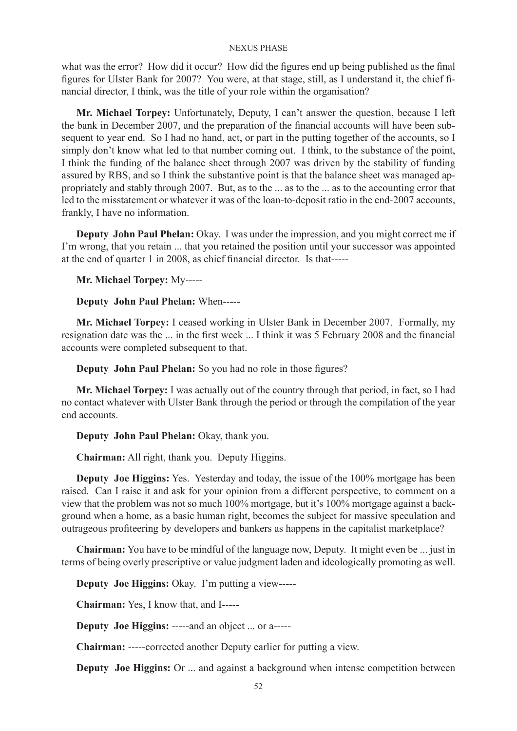what was the error? How did it occur? How did the figures end up being published as the final figures for Ulster Bank for 2007? You were, at that stage, still, as I understand it, the chief financial director, I think, was the title of your role within the organisation?

**Mr. Michael Torpey:** Unfortunately, Deputy, I can't answer the question, because I left the bank in December 2007, and the preparation of the financial accounts will have been subsequent to year end. So I had no hand, act, or part in the putting together of the accounts, so I simply don't know what led to that number coming out. I think, to the substance of the point, I think the funding of the balance sheet through 2007 was driven by the stability of funding assured by RBS, and so I think the substantive point is that the balance sheet was managed appropriately and stably through 2007. But, as to the ... as to the ... as to the accounting error that led to the misstatement or whatever it was of the loan-to-deposit ratio in the end-2007 accounts, frankly, I have no information.

**Deputy John Paul Phelan:** Okay. I was under the impression, and you might correct me if I'm wrong, that you retain ... that you retained the position until your successor was appointed at the end of quarter 1 in 2008, as chief financial director. Is that-----

**Mr. Michael Torpey:** My-----

**Deputy John Paul Phelan:** When-----

**Mr. Michael Torpey:** I ceased working in Ulster Bank in December 2007. Formally, my resignation date was the ... in the first week ... I think it was 5 February 2008 and the financial accounts were completed subsequent to that.

**Deputy John Paul Phelan:** So you had no role in those figures?

**Mr. Michael Torpey:** I was actually out of the country through that period, in fact, so I had no contact whatever with Ulster Bank through the period or through the compilation of the year end accounts.

**Deputy John Paul Phelan:** Okay, thank you.

**Chairman:** All right, thank you. Deputy Higgins.

**Deputy Joe Higgins:** Yes. Yesterday and today, the issue of the 100% mortgage has been raised. Can I raise it and ask for your opinion from a different perspective, to comment on a view that the problem was not so much 100% mortgage, but it's 100% mortgage against a background when a home, as a basic human right, becomes the subject for massive speculation and outrageous profiteering by developers and bankers as happens in the capitalist marketplace?

**Chairman:** You have to be mindful of the language now, Deputy. It might even be ... just in terms of being overly prescriptive or value judgment laden and ideologically promoting as well.

**Deputy Joe Higgins:** Okay. I'm putting a view-----

**Chairman:** Yes, I know that, and I-----

**Deputy Joe Higgins:** -----and an object ... or a-----

**Chairman:** -----corrected another Deputy earlier for putting a view.

**Deputy Joe Higgins:** Or ... and against a background when intense competition between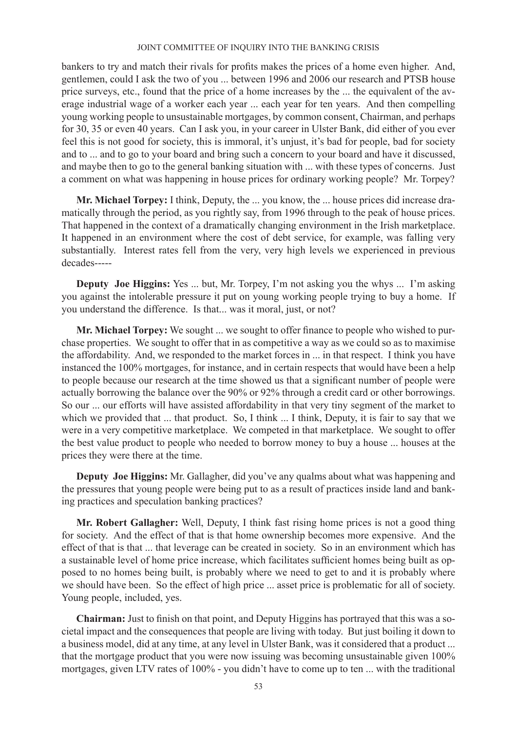bankers to try and match their rivals for profits makes the prices of a home even higher. And, gentlemen, could I ask the two of you ... between 1996 and 2006 our research and PTSB house price surveys, etc., found that the price of a home increases by the ... the equivalent of the average industrial wage of a worker each year ... each year for ten years. And then compelling young working people to unsustainable mortgages, by common consent, Chairman, and perhaps for 30, 35 or even 40 years. Can I ask you, in your career in Ulster Bank, did either of you ever feel this is not good for society, this is immoral, it's unjust, it's bad for people, bad for society and to ... and to go to your board and bring such a concern to your board and have it discussed, and maybe then to go to the general banking situation with ... with these types of concerns. Just a comment on what was happening in house prices for ordinary working people? Mr. Torpey?

**Mr. Michael Torpey:** I think, Deputy, the ... you know, the ... house prices did increase dramatically through the period, as you rightly say, from 1996 through to the peak of house prices. That happened in the context of a dramatically changing environment in the Irish marketplace. It happened in an environment where the cost of debt service, for example, was falling very substantially. Interest rates fell from the very, very high levels we experienced in previous decades-----

**Deputy Joe Higgins:** Yes ... but, Mr. Torpey, I'm not asking you the whys ... I'm asking you against the intolerable pressure it put on young working people trying to buy a home. If you understand the difference. Is that... was it moral, just, or not?

**Mr. Michael Torpey:** We sought ... we sought to offer finance to people who wished to purchase properties. We sought to offer that in as competitive a way as we could so as to maximise the affordability. And, we responded to the market forces in ... in that respect. I think you have instanced the 100% mortgages, for instance, and in certain respects that would have been a help to people because our research at the time showed us that a significant number of people were actually borrowing the balance over the 90% or 92% through a credit card or other borrowings. So our ... our efforts will have assisted affordability in that very tiny segment of the market to which we provided that ... that product. So, I think ... I think, Deputy, it is fair to say that we were in a very competitive marketplace. We competed in that marketplace. We sought to offer the best value product to people who needed to borrow money to buy a house ... houses at the prices they were there at the time.

**Deputy Joe Higgins:** Mr. Gallagher, did you've any qualms about what was happening and the pressures that young people were being put to as a result of practices inside land and banking practices and speculation banking practices?

**Mr. Robert Gallagher:** Well, Deputy, I think fast rising home prices is not a good thing for society. And the effect of that is that home ownership becomes more expensive. And the effect of that is that ... that leverage can be created in society. So in an environment which has a sustainable level of home price increase, which facilitates sufficient homes being built as opposed to no homes being built, is probably where we need to get to and it is probably where we should have been. So the effect of high price ... asset price is problematic for all of society. Young people, included, yes.

**Chairman:** Just to finish on that point, and Deputy Higgins has portrayed that this was a societal impact and the consequences that people are living with today. But just boiling it down to a business model, did at any time, at any level in Ulster Bank, was it considered that a product ... that the mortgage product that you were now issuing was becoming unsustainable given 100% mortgages, given LTV rates of 100% - you didn't have to come up to ten ... with the traditional